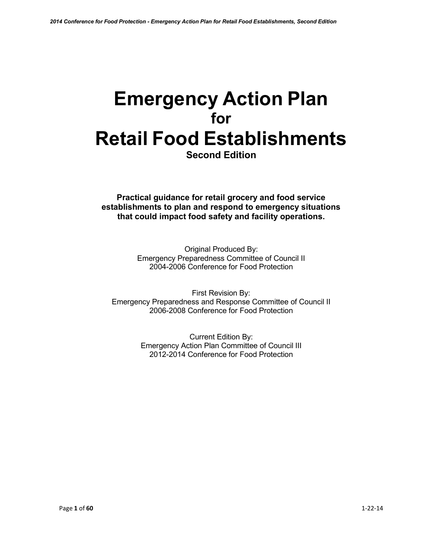# **Emergency Action Plan for Retail Food Establishments**

**Second Edition**

**Practical guidance for retail grocery and food service establishments to plan and respond to emergency situations that could impact food safety and facility operations.**

> Original Produced By: Emergency Preparedness Committee of Council II 2004-2006 Conference for Food Protection

First Revision By: Emergency Preparedness and Response Committee of Council II 2006-2008 Conference for Food Protection

> Current Edition By: Emergency Action Plan Committee of Council III 2012-2014 Conference for Food Protection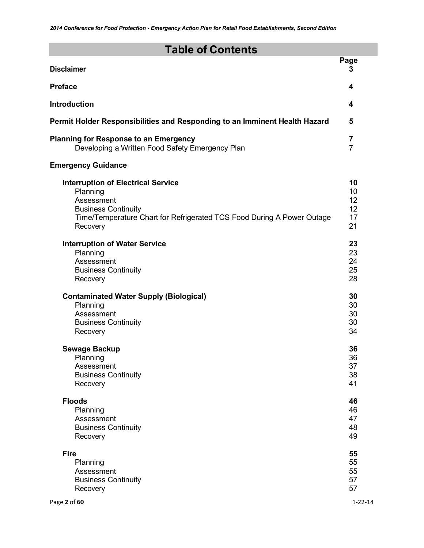# **Table of Contents**

| <b>Disclaimer</b>                                                          | Page<br>3      |
|----------------------------------------------------------------------------|----------------|
| <b>Preface</b>                                                             | 4              |
| <b>Introduction</b>                                                        | 4              |
| Permit Holder Responsibilities and Responding to an Imminent Health Hazard | 5              |
| <b>Planning for Response to an Emergency</b>                               | $\overline{7}$ |
| Developing a Written Food Safety Emergency Plan                            | $\overline{7}$ |
| <b>Emergency Guidance</b>                                                  |                |
| <b>Interruption of Electrical Service</b>                                  | 10             |
| Planning                                                                   | 10             |
| Assessment                                                                 | 12             |
| <b>Business Continuity</b>                                                 | 12             |
| Time/Temperature Chart for Refrigerated TCS Food During A Power Outage     | 17             |
| Recovery                                                                   | 21             |
| <b>Interruption of Water Service</b>                                       | 23             |
| Planning                                                                   | 23             |
| Assessment                                                                 | 24             |
| <b>Business Continuity</b>                                                 | 25             |
| Recovery                                                                   | 28             |
| <b>Contaminated Water Supply (Biological)</b>                              | 30             |
| Planning                                                                   | 30             |
| Assessment                                                                 | 30             |
| <b>Business Continuity</b>                                                 | 30             |
| Recovery                                                                   | 34             |
| <b>Sewage Backup</b>                                                       | 36             |
| Planning                                                                   | 36             |
| Assessment                                                                 | 37             |
| <b>Business Continuity</b>                                                 | 38             |
| Recovery                                                                   | 41             |
| <b>Floods</b>                                                              | 46             |
| Planning                                                                   | 46             |
| Assessment                                                                 | 47             |
| <b>Business Continuity</b>                                                 | 48             |
| Recovery                                                                   | 49             |
| <b>Fire</b>                                                                | 55             |
| Planning                                                                   | 55             |
| Assessment                                                                 | 55             |
| <b>Business Continuity</b>                                                 | 57             |
| Recovery                                                                   | 57             |
| Page 2 of 60                                                               | $1 - 22 - 14$  |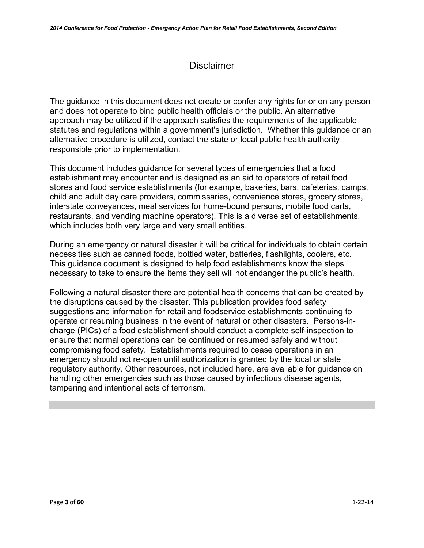# **Disclaimer**

The guidance in this document does not create or confer any rights for or on any person and does not operate to bind public health officials or the public. An alternative approach may be utilized if the approach satisfies the requirements of the applicable statutes and regulations within a government's jurisdiction. Whether this guidance or an alternative procedure is utilized, contact the state or local public health authority responsible prior to implementation.

This document includes guidance for several types of emergencies that a food establishment may encounter and is designed as an aid to operators of retail food stores and food service establishments (for example, bakeries, bars, cafeterias, camps, child and adult day care providers, commissaries, convenience stores, grocery stores, interstate conveyances, meal services for home-bound persons, mobile food carts, restaurants, and vending machine operators). This is a diverse set of establishments, which includes both very large and very small entities.

During an emergency or natural disaster it will be critical for individuals to obtain certain necessities such as canned foods, bottled water, batteries, flashlights, coolers, etc. This guidance document is designed to help food establishments know the steps necessary to take to ensure the items they sell will not endanger the public's health.

Following a natural disaster there are potential health concerns that can be created by the disruptions caused by the disaster. This publication provides food safety suggestions and information for retail and foodservice establishments continuing to operate or resuming business in the event of natural or other disasters. Persons-incharge (PICs) of a food establishment should conduct a complete self-inspection to ensure that normal operations can be continued or resumed safely and without compromising food safety. Establishments required to cease operations in an emergency should not re-open until authorization is granted by the local or state regulatory authority. Other resources, not included here, are available for guidance on handling other emergencies such as those caused by infectious disease agents, tampering and intentional acts of terrorism.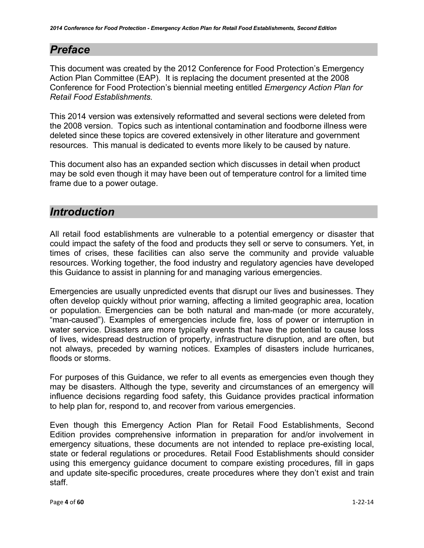# <span id="page-3-0"></span>*Preface*

This document was created by the 2012 Conference for Food Protection's Emergency Action Plan Committee (EAP). It is replacing the document presented at the 2008 Conference for Food Protection's biennial meeting entitled *Emergency Action Plan for Retail Food Establishments.*

This 2014 version was extensively reformatted and several sections were deleted from the 2008 version. Topics such as intentional contamination and foodborne illness were deleted since these topics are covered extensively in other literature and government resources. This manual is dedicated to events more likely to be caused by nature.

This document also has an expanded section which discusses in detail when product may be sold even though it may have been out of temperature control for a limited time frame due to a power outage.

# <span id="page-3-1"></span>*Introduction*

All retail food establishments are vulnerable to a potential emergency or disaster that could impact the safety of the food and products they sell or serve to consumers. Yet, in times of crises, these facilities can also serve the community and provide valuable resources. Working together, the food industry and regulatory agencies have developed this Guidance to assist in planning for and managing various emergencies.

Emergencies are usually unpredicted events that disrupt our lives and businesses. They often develop quickly without prior warning, affecting a limited geographic area, location or population. Emergencies can be both natural and man-made (or more accurately, "man-caused"). Examples of emergencies include fire, loss of power or interruption in water service. Disasters are more typically events that have the potential to cause loss of lives, widespread destruction of property, infrastructure disruption, and are often, but not always, preceded by warning notices. Examples of disasters include hurricanes, floods or storms.

For purposes of this Guidance, we refer to all events as emergencies even though they may be disasters. Although the type, severity and circumstances of an emergency will influence decisions regarding food safety, this Guidance provides practical information to help plan for, respond to, and recover from various emergencies.

Even though this Emergency Action Plan for Retail Food Establishments, Second Edition provides comprehensive information in preparation for and/or involvement in emergency situations, these documents are not intended to replace pre-existing local, state or federal regulations or procedures. Retail Food Establishments should consider using this emergency guidance document to compare existing procedures, fill in gaps and update site-specific procedures, create procedures where they don't exist and train staff.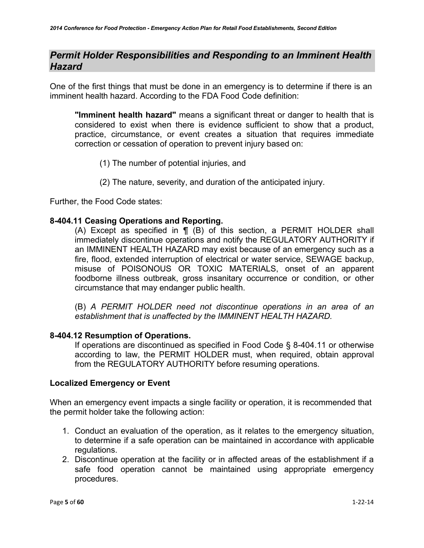# *Permit Holder Responsibilities and Responding to an Imminent Health Hazard*

One of the first things that must be done in an emergency is to determine if there is an imminent health hazard. According to the FDA Food Code definition:

**"Imminent health hazard"** means a significant threat or danger to health that is considered to exist when there is evidence sufficient to show that a product, practice, circumstance, or event creates a situation that requires immediate correction or cessation of operation to prevent injury based on:

- (1) The number of potential injuries, and
- (2) The nature, severity, and duration of the anticipated injury.

Further, the Food Code states:

### **8-404.11 Ceasing Operations and Reporting.**

(A) Except as specified in ¶ (B) of this section, a PERMIT HOLDER shall immediately discontinue operations and notify the REGULATORY AUTHORITY if an IMMINENT HEALTH HAZARD may exist because of an emergency such as a fire, flood, extended interruption of electrical or water service, SEWAGE backup, misuse of POISONOUS OR TOXIC MATERIALS, onset of an apparent foodborne illness outbreak, gross insanitary occurrence or condition, or other circumstance that may endanger public health.

(B) *A PERMIT HOLDER need not discontinue operations in an area of an establishment that is unaffected by the IMMINENT HEALTH HAZARD.*

### **8-404.12 Resumption of Operations.**

If operations are discontinued as specified in Food Code § 8-404.11 or otherwise according to law, the PERMIT HOLDER must, when required, obtain approval from the REGULATORY AUTHORITY before resuming operations.

### **Localized Emergency or Event**

When an emergency event impacts a single facility or operation, it is recommended that the permit holder take the following action:

- 1. Conduct an evaluation of the operation, as it relates to the emergency situation, to determine if a safe operation can be maintained in accordance with applicable regulations.
- 2. Discontinue operation at the facility or in affected areas of the establishment if a safe food operation cannot be maintained using appropriate emergency procedures.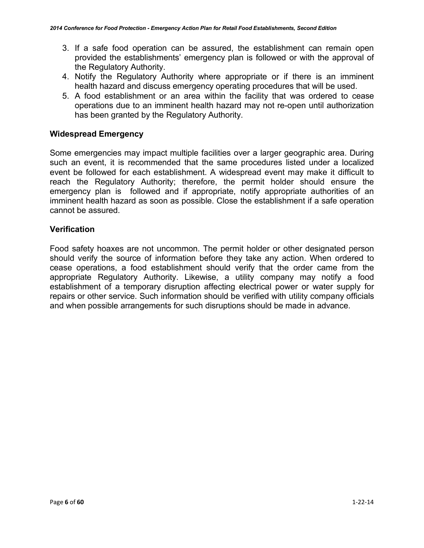- 3. If a safe food operation can be assured, the establishment can remain open provided the establishments' emergency plan is followed or with the approval of the Regulatory Authority.
- 4. Notify the Regulatory Authority where appropriate or if there is an imminent health hazard and discuss emergency operating procedures that will be used.
- 5. A food establishment or an area within the facility that was ordered to cease operations due to an imminent health hazard may not re-open until authorization has been granted by the Regulatory Authority.

### **Widespread Emergency**

Some emergencies may impact multiple facilities over a larger geographic area. During such an event, it is recommended that the same procedures listed under a localized event be followed for each establishment. A widespread event may make it difficult to reach the Regulatory Authority; therefore, the permit holder should ensure the emergency plan is followed and if appropriate, notify appropriate authorities of an imminent health hazard as soon as possible. Close the establishment if a safe operation cannot be assured.

### **Verification**

Food safety hoaxes are not uncommon. The permit holder or other designated person should verify the source of information before they take any action. When ordered to cease operations, a food establishment should verify that the order came from the appropriate Regulatory Authority. Likewise, a utility company may notify a food establishment of a temporary disruption affecting electrical power or water supply for repairs or other service. Such information should be verified with utility company officials and when possible arrangements for such disruptions should be made in advance.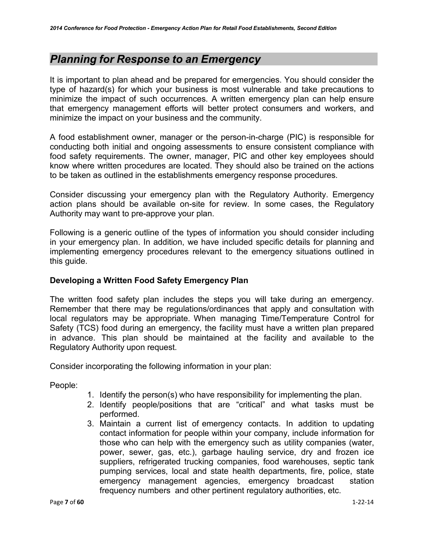# <span id="page-6-0"></span>*Planning for Response to an Emergency*

It is important to plan ahead and be prepared for emergencies. You should consider the type of hazard(s) for which your business is most vulnerable and take precautions to minimize the impact of such occurrences. A written emergency plan can help ensure that emergency management efforts will better protect consumers and workers, and minimize the impact on your business and the community.

A food establishment owner, manager or the person-in-charge (PIC) is responsible for conducting both initial and ongoing assessments to ensure consistent compliance with food safety requirements. The owner, manager, PIC and other key employees should know where written procedures are located. They should also be trained on the actions to be taken as outlined in the establishments emergency response procedures.

Consider discussing your emergency plan with the Regulatory Authority. Emergency action plans should be available on-site for review. In some cases, the Regulatory Authority may want to pre-approve your plan.

Following is a generic outline of the types of information you should consider including in your emergency plan. In addition, we have included specific details for planning and implementing emergency procedures relevant to the emergency situations outlined in this guide.

### <span id="page-6-1"></span>**Developing a Written Food Safety Emergency Plan**

The written food safety plan includes the steps you will take during an emergency. Remember that there may be regulations/ordinances that apply and consultation with local regulators may be appropriate. When managing Time/Temperature Control for Safety (TCS) food during an emergency, the facility must have a written plan prepared in advance. This plan should be maintained at the facility and available to the Regulatory Authority upon request.

Consider incorporating the following information in your plan:

People:

- 1. Identify the person(s) who have responsibility for implementing the plan.
- 2. Identify people/positions that are "critical" and what tasks must be performed.
- 3. Maintain a current list of emergency contacts. In addition to updating contact information for people within your company, include information for those who can help with the emergency such as utility companies (water, power, sewer, gas, etc.), garbage hauling service, dry and frozen ice suppliers, refrigerated trucking companies, food warehouses, septic tank pumping services, local and state health departments, fire, police, state emergency management agencies, emergency broadcast station frequency numbers and other pertinent regulatory authorities, etc.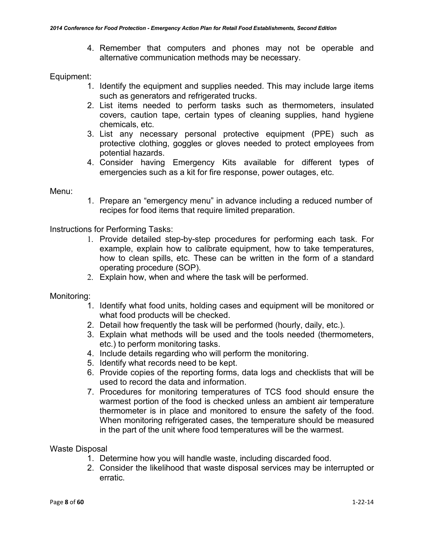4. Remember that computers and phones may not be operable and alternative communication methods may be necessary.

### Equipment:

- 1. Identify the equipment and supplies needed. This may include large items such as generators and refrigerated trucks.
- 2. List items needed to perform tasks such as thermometers, insulated covers, caution tape, certain types of cleaning supplies, hand hygiene chemicals, etc.
- 3. List any necessary personal protective equipment (PPE) such as protective clothing, goggles or gloves needed to protect employees from potential hazards.
- 4. Consider having Emergency Kits available for different types of emergencies such as a kit for fire response, power outages, etc.

### Menu:

1. Prepare an "emergency menu" in advance including a reduced number of recipes for food items that require limited preparation.

Instructions for Performing Tasks:

- 1. Provide detailed step-by-step procedures for performing each task. For example, explain how to calibrate equipment, how to take temperatures, how to clean spills, etc. These can be written in the form of a standard operating procedure (SOP).
- 2. Explain how, when and where the task will be performed.

Monitoring:

- 1. Identify what food units, holding cases and equipment will be monitored or what food products will be checked.
- 2. Detail how frequently the task will be performed (hourly, daily, etc.).
- 3. Explain what methods will be used and the tools needed (thermometers, etc.) to perform monitoring tasks.
- 4. Include details regarding who will perform the monitoring.
- 5. Identify what records need to be kept.
- 6. Provide copies of the reporting forms, data logs and checklists that will be used to record the data and information.
- 7. Procedures for monitoring temperatures of TCS food should ensure the warmest portion of the food is checked unless an ambient air temperature thermometer is in place and monitored to ensure the safety of the food. When monitoring refrigerated cases, the temperature should be measured in the part of the unit where food temperatures will be the warmest.

### Waste Disposal

- 1. Determine how you will handle waste, including discarded food.
- 2. Consider the likelihood that waste disposal services may be interrupted or erratic.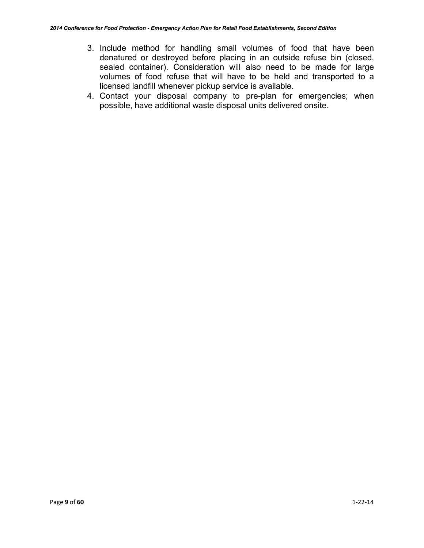- 3. Include method for handling small volumes of food that have been denatured or destroyed before placing in an outside refuse bin (closed, sealed container). Consideration will also need to be made for large volumes of food refuse that will have to be held and transported to a licensed landfill whenever pickup service is available.
- 4. Contact your disposal company to pre-plan for emergencies; when possible, have additional waste disposal units delivered onsite.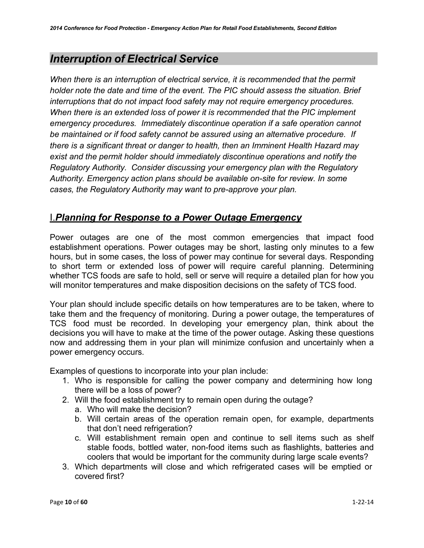# <span id="page-9-0"></span>*Interruption of Electrical Service*

*When there is an interruption of electrical service, it is recommended that the permit holder note the date and time of the event. The PIC should assess the situation. Brief interruptions that do not impact food safety may not require emergency procedures. When there is an extended loss of power it is recommended that the PIC implement emergency procedures. Immediately discontinue operation if a safe operation cannot be maintained or if food safety cannot be assured using an alternative procedure. If there is a significant threat or danger to health, then an Imminent Health Hazard may exist and the permit holder should immediately discontinue operations and notify the Regulatory Authority. Consider discussing your emergency plan with the Regulatory Authority. Emergency action plans should be available on-site for review. In some cases, the Regulatory Authority may want to pre-approve your plan.*

# I.*Planning for Response to a Power Outage Emergency*

Power outages are one of the most common emergencies that impact food establishment operations. Power outages may be short, lasting only minutes to a few hours, but in some cases, the loss of power may continue for several days. Responding to short term or extended loss of power will require careful planning. Determining whether TCS foods are safe to hold, sell or serve will require a detailed plan for how you will monitor temperatures and make disposition decisions on the safety of TCS food.

Your plan should include specific details on how temperatures are to be taken, where to take them and the frequency of monitoring. During a power outage, the temperatures of TCS food must be recorded. In developing your emergency plan, think about the decisions you will have to make at the time of the power outage. Asking these questions now and addressing them in your plan will minimize confusion and uncertainly when a power emergency occurs.

Examples of questions to incorporate into your plan include:

- 1. Who is responsible for calling the power company and determining how long there will be a loss of power?
- 2. Will the food establishment try to remain open during the outage?
	- a. Who will make the decision?
	- b. Will certain areas of the operation remain open, for example, departments that don't need refrigeration?
	- c. Will establishment remain open and continue to sell items such as shelf stable foods, bottled water, non-food items such as flashlights, batteries and coolers that would be important for the community during large scale events?
- 3. Which departments will close and which refrigerated cases will be emptied or covered first?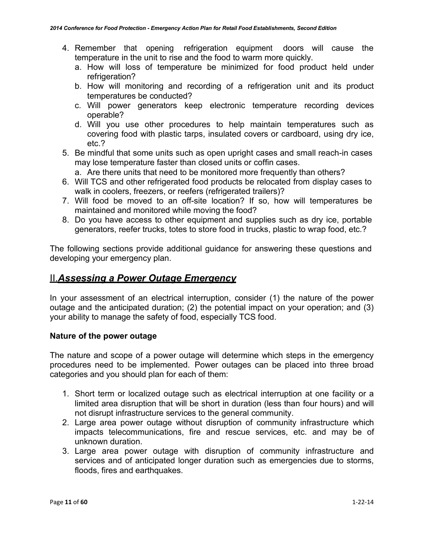- 4. Remember that opening refrigeration equipment doors will cause the temperature in the unit to rise and the food to warm more quickly.
	- a. How will loss of temperature be minimized for food product held under refrigeration?
	- b. How will monitoring and recording of a refrigeration unit and its product temperatures be conducted?
	- c. Will power generators keep electronic temperature recording devices operable?
	- d. Will you use other procedures to help maintain temperatures such as covering food with plastic tarps, insulated covers or cardboard, using dry ice, etc.?
- 5. Be mindful that some units such as open upright cases and small reach-in cases may lose temperature faster than closed units or coffin cases.
	- a. Are there units that need to be monitored more frequently than others?
- 6. Will TCS and other refrigerated food products be relocated from display cases to walk in coolers, freezers, or reefers (refrigerated trailers)?
- 7. Will food be moved to an off-site location? If so, how will temperatures be maintained and monitored while moving the food?
- 8. Do you have access to other equipment and supplies such as dry ice, portable generators, reefer trucks, totes to store food in trucks, plastic to wrap food, etc.?

The following sections provide additional guidance for answering these questions and developing your emergency plan.

# II.*Assessing a Power Outage Emergency*

In your assessment of an electrical interruption, consider (1) the nature of the power outage and the anticipated duration; (2) the potential impact on your operation; and (3) your ability to manage the safety of food, especially TCS food.

### **Nature of the power outage**

The nature and scope of a power outage will determine which steps in the emergency procedures need to be implemented. Power outages can be placed into three broad categories and you should plan for each of them:

- 1. Short term or localized outage such as electrical interruption at one facility or a limited area disruption that will be short in duration (less than four hours) and will not disrupt infrastructure services to the general community.
- 2. Large area power outage without disruption of community infrastructure which impacts telecommunications, fire and rescue services, etc. and may be of unknown duration.
- 3. Large area power outage with disruption of community infrastructure and services and of anticipated longer duration such as emergencies due to storms, floods, fires and earthquakes.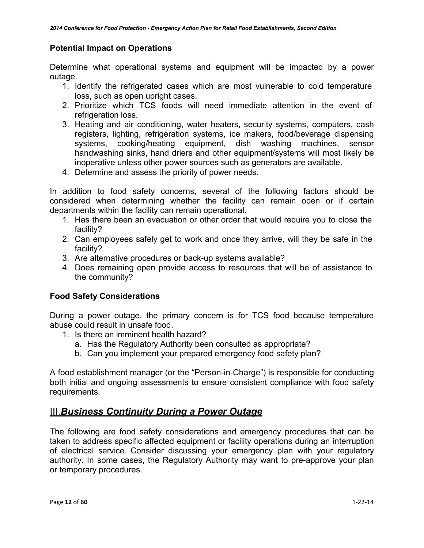### **Potential Impact on Operations**

Determine what operational systems and equipment will be impacted by a power outage.

- 1. Identify the refrigerated cases which are most vulnerable to cold temperature loss, such as open upright cases.
- 2. Prioritize which TCS foods will need immediate attention in the event of refrigeration loss.
- 3. Heating and air conditioning, water heaters, security systems, computers, cash registers, lighting, refrigeration systems, ice makers, food/beverage dispensing systems, cooking/heating equipment, dish washing machines, sensor handwashing sinks, hand driers and other equipment/systems will most likely be inoperative unless other power sources such as generators are available.
- 4. Determine and assess the priority of power needs.

In addition to food safety concerns, several of the following factors should be considered when determining whether the facility can remain open or if certain departments within the facility can remain operational.

- 1. Has there been an evacuation or other order that would require you to close the facility?
- 2. Can employees safely get to work and once they arrive, will they be safe in the facility?
- 3. Are alternative procedures or back-up systems available?
- 4. Does remaining open provide access to resources that will be of assistance to the community?

### **Food Safety Considerations**

During a power outage, the primary concern is for TCS food because temperature abuse could result in unsafe food.

- 1. Is there an imminent health hazard?
	- a. Has the Regulatory Authority been consulted as appropriate?
	- b. Can you implement your prepared emergency food safety plan?

A food establishment manager (or the "Person-in-Charge") is responsible for conducting both initial and ongoing assessments to ensure consistent compliance with food safety requirements.

### III.*Business Continuity During a Power Outage*

The following are food safety considerations and emergency procedures that can be taken to address specific affected equipment or facility operations during an interruption of electrical service. Consider discussing your emergency plan with your regulatory authority. In some cases, the Regulatory Authority may want to pre-approve your plan or temporary procedures.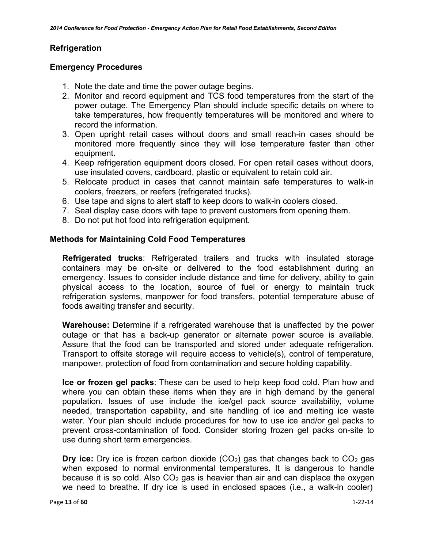### **Refrigeration**

### **Emergency Procedures**

- 1. Note the date and time the power outage begins.
- 2. Monitor and record equipment and TCS food temperatures from the start of the power outage. The Emergency Plan should include specific details on where to take temperatures, how frequently temperatures will be monitored and where to record the information.
- 3. Open upright retail cases without doors and small reach-in cases should be monitored more frequently since they will lose temperature faster than other equipment.
- 4. Keep refrigeration equipment doors closed. For open retail cases without doors, use insulated covers, cardboard, plastic or equivalent to retain cold air.
- 5. Relocate product in cases that cannot maintain safe temperatures to walk-in coolers, freezers, or reefers (refrigerated trucks).
- 6. Use tape and signs to alert staff to keep doors to walk-in coolers closed.
- 7. Seal display case doors with tape to prevent customers from opening them.
- 8. Do not put hot food into refrigeration equipment.

### **Methods for Maintaining Cold Food Temperatures**

**Refrigerated trucks**: Refrigerated trailers and trucks with insulated storage containers may be on-site or delivered to the food establishment during an emergency. Issues to consider include distance and time for delivery, ability to gain physical access to the location, source of fuel or energy to maintain truck refrigeration systems, manpower for food transfers, potential temperature abuse of foods awaiting transfer and security.

**Warehouse:** Determine if a refrigerated warehouse that is unaffected by the power outage or that has a back-up generator or alternate power source is available. Assure that the food can be transported and stored under adequate refrigeration. Transport to offsite storage will require access to vehicle(s), control of temperature, manpower, protection of food from contamination and secure holding capability.

**Ice or frozen gel packs**: These can be used to help keep food cold. Plan how and where you can obtain these items when they are in high demand by the general population. Issues of use include the ice/gel pack source availability, volume needed, transportation capability, and site handling of ice and melting ice waste water. Your plan should include procedures for how to use ice and/or gel packs to prevent cross-contamination of food. Consider storing frozen gel packs on-site to use during short term emergencies.

**Dry ice:** Dry ice is frozen carbon dioxide  $(CO<sub>2</sub>)$  gas that changes back to  $CO<sub>2</sub>$  gas when exposed to normal environmental temperatures. It is dangerous to handle because it is so cold. Also  $CO<sub>2</sub>$  gas is heavier than air and can displace the oxygen we need to breathe. If dry ice is used in enclosed spaces (i.e., a walk-in cooler)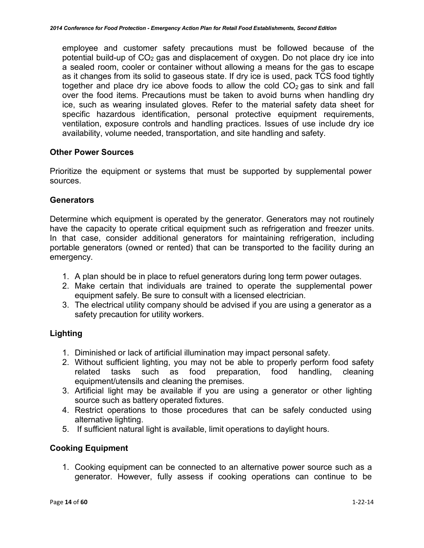employee and customer safety precautions must be followed because of the potential build-up of  $CO<sub>2</sub>$  gas and displacement of oxygen. Do not place dry ice into a sealed room, cooler or container without allowing a means for the gas to escape as it changes from its solid to gaseous state. If dry ice is used, pack TCS food tightly together and place dry ice above foods to allow the cold  $CO<sub>2</sub>$  gas to sink and fall over the food items. Precautions must be taken to avoid burns when handling dry ice, such as wearing insulated gloves. Refer to the material safety data sheet for specific hazardous identification, personal protective equipment requirements, ventilation, exposure controls and handling practices. Issues of use include dry ice availability, volume needed, transportation, and site handling and safety.

### **Other Power Sources**

Prioritize the equipment or systems that must be supported by supplemental power sources.

### **Generators**

Determine which equipment is operated by the generator. Generators may not routinely have the capacity to operate critical equipment such as refrigeration and freezer units. In that case, consider additional generators for maintaining refrigeration, including portable generators (owned or rented) that can be transported to the facility during an emergency.

- 1. A plan should be in place to refuel generators during long term power outages.
- 2. Make certain that individuals are trained to operate the supplemental power equipment safely. Be sure to consult with a licensed electrician.
- 3. The electrical utility company should be advised if you are using a generator as a safety precaution for utility workers.

### **Lighting**

- 1. Diminished or lack of artificial illumination may impact personal safety.
- 2. Without sufficient lighting, you may not be able to properly perform food safety related tasks such as food preparation, food handling, cleaning equipment/utensils and cleaning the premises.
- 3. Artificial light may be available if you are using a generator or other lighting source such as battery operated fixtures.
- 4. Restrict operations to those procedures that can be safely conducted using alternative lighting.
- 5. If sufficient natural light is available, limit operations to daylight hours.

### **Cooking Equipment**

1. Cooking equipment can be connected to an alternative power source such as a generator. However, fully assess if cooking operations can continue to be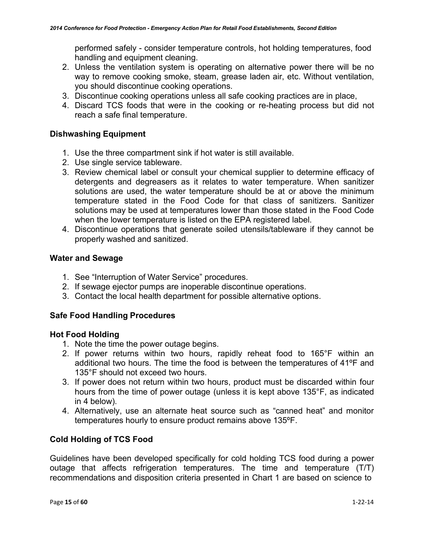performed safely - consider temperature controls, hot holding temperatures, food handling and equipment cleaning.

- 2. Unless the ventilation system is operating on alternative power there will be no way to remove cooking smoke, steam, grease laden air, etc. Without ventilation, you should discontinue cooking operations.
- 3. Discontinue cooking operations unless all safe cooking practices are in place,
- 4. Discard TCS foods that were in the cooking or re-heating process but did not reach a safe final temperature.

### **Dishwashing Equipment**

- 1. Use the three compartment sink if hot water is still available.
- 2. Use single service tableware.
- 3. Review chemical label or consult your chemical supplier to determine efficacy of detergents and degreasers as it relates to water temperature. When sanitizer solutions are used, the water temperature should be at or above the minimum temperature stated in the Food Code for that class of sanitizers. Sanitizer solutions may be used at temperatures lower than those stated in the Food Code when the lower temperature is listed on the EPA registered label.
- 4. Discontinue operations that generate soiled utensils/tableware if they cannot be properly washed and sanitized.

### **Water and Sewage**

- 1. See "Interruption of Water Service" procedures.
- 2. If sewage ejector pumps are inoperable discontinue operations.
- 3. Contact the local health department for possible alternative options.

### **Safe Food Handling Procedures**

### **Hot Food Holding**

- 1. Note the time the power outage begins.
- 2. If power returns within two hours, rapidly reheat food to 165°F within an additional two hours. The time the food is between the temperatures of 41ºF and 135°F should not exceed two hours.
- 3. If power does not return within two hours, product must be discarded within four hours from the time of power outage (unless it is kept above 135°F, as indicated in 4 below).
- 4. Alternatively, use an alternate heat source such as "canned heat" and monitor temperatures hourly to ensure product remains above 135ºF.

### **Cold Holding of TCS Food**

Guidelines have been developed specifically for cold holding TCS food during a power outage that affects refrigeration temperatures. The time and temperature (T/T) recommendations and disposition criteria presented in Chart 1 are based on science to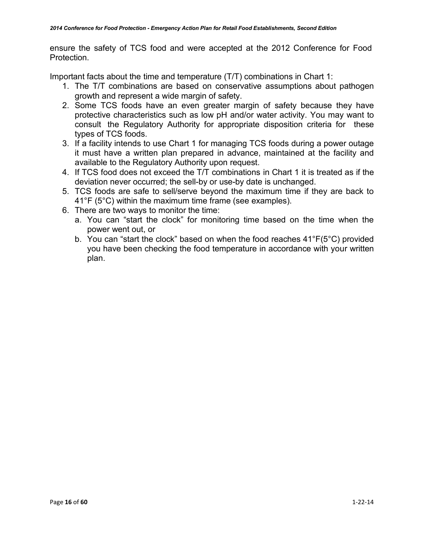ensure the safety of TCS food and were accepted at the 2012 Conference for Food Protection.

Important facts about the time and temperature (T/T) combinations in Chart 1:

- 1. The T/T combinations are based on conservative assumptions about pathogen growth and represent a wide margin of safety.
- 2. Some TCS foods have an even greater margin of safety because they have protective characteristics such as low pH and/or water activity. You may want to consult the Regulatory Authority for appropriate disposition criteria for these types of TCS foods.
- 3. If a facility intends to use Chart 1 for managing TCS foods during a power outage it must have a written plan prepared in advance, maintained at the facility and available to the Regulatory Authority upon request.
- 4. If TCS food does not exceed the T/T combinations in Chart 1 it is treated as if the deviation never occurred; the sell-by or use-by date is unchanged.
- 5. TCS foods are safe to sell/serve beyond the maximum time if they are back to 41°F (5°C) within the maximum time frame (see examples).
- 6. There are two ways to monitor the time:
	- a. You can "start the clock" for monitoring time based on the time when the power went out, or
	- b. You can "start the clock" based on when the food reaches 41°F(5°C) provided you have been checking the food temperature in accordance with your written plan.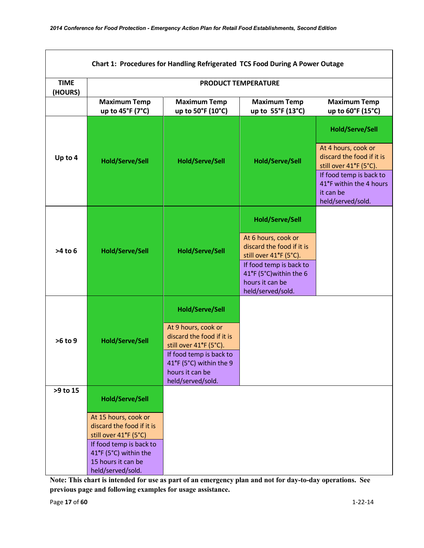| Chart 1: Procedures for Handling Refrigerated TCS Food During A Power Outage |                                                                                                                                                                                                     |                                                                                                                                                                                                    |                                                                                                                                                                                                    |                                                                                                                                                                                              |  |  |  |
|------------------------------------------------------------------------------|-----------------------------------------------------------------------------------------------------------------------------------------------------------------------------------------------------|----------------------------------------------------------------------------------------------------------------------------------------------------------------------------------------------------|----------------------------------------------------------------------------------------------------------------------------------------------------------------------------------------------------|----------------------------------------------------------------------------------------------------------------------------------------------------------------------------------------------|--|--|--|
| <b>TIME</b><br>(HOURS)                                                       | <b>PRODUCT TEMPERATURE</b>                                                                                                                                                                          |                                                                                                                                                                                                    |                                                                                                                                                                                                    |                                                                                                                                                                                              |  |  |  |
|                                                                              | <b>Maximum Temp</b><br>up to $45^{\circ}$ F (7 $^{\circ}$ C)                                                                                                                                        | <b>Maximum Temp</b><br>up to 50°F (10°C)                                                                                                                                                           | <b>Maximum Temp</b><br>up to 55°F (13°C)                                                                                                                                                           | <b>Maximum Temp</b><br>up to 60°F (15°C)                                                                                                                                                     |  |  |  |
| Up to 4                                                                      | <b>Hold/Serve/Sell</b>                                                                                                                                                                              | <b>Hold/Serve/Sell</b>                                                                                                                                                                             | <b>Hold/Serve/Sell</b>                                                                                                                                                                             | <b>Hold/Serve/Sell</b><br>At 4 hours, cook or<br>discard the food if it is<br>still over 41°F (5°C).<br>If food temp is back to<br>41°F within the 4 hours<br>it can be<br>held/served/sold. |  |  |  |
| $>4$ to 6                                                                    | <b>Hold/Serve/Sell</b>                                                                                                                                                                              | <b>Hold/Serve/Sell</b>                                                                                                                                                                             | <b>Hold/Serve/Sell</b><br>At 6 hours, cook or<br>discard the food if it is<br>still over 41°F (5°C).<br>If food temp is back to<br>41°F (5°C) within the 6<br>hours it can be<br>held/served/sold. |                                                                                                                                                                                              |  |  |  |
| >6 to 9                                                                      | <b>Hold/Serve/Sell</b>                                                                                                                                                                              | <b>Hold/Serve/Sell</b><br>At 9 hours, cook or<br>discard the food if it is<br>still over 41°F (5°C).<br>If food temp is back to<br>41°F (5°C) within the 9<br>hours it can be<br>held/served/sold. |                                                                                                                                                                                                    |                                                                                                                                                                                              |  |  |  |
| >9 to 15                                                                     | <b>Hold/Serve/Sell</b><br>At 15 hours, cook or<br>discard the food if it is<br>still over 41°F (5°C)<br>If food temp is back to<br>41°F (5°C) within the<br>15 hours it can be<br>held/served/sold. |                                                                                                                                                                                                    |                                                                                                                                                                                                    |                                                                                                                                                                                              |  |  |  |

**Note: This chart is intended for use as part of an emergency plan and not for day-to-day operations. See previous page and following examples for usage assistance.**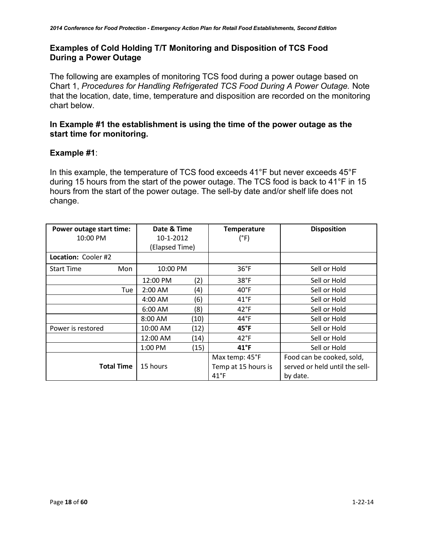### **Examples of Cold Holding T/T Monitoring and Disposition of TCS Food During a Power Outage**

The following are examples of monitoring TCS food during a power outage based on Chart 1, *Procedures for Handling Refrigerated TCS Food During A Power Outage.* Note that the location, date, time, temperature and disposition are recorded on the monitoring chart below.

### **In Example #1 the establishment is using the time of the power outage as the start time for monitoring.**

### **Example #1**:

In this example, the temperature of TCS food exceeds 41°F but never exceeds 45°F during 15 hours from the start of the power outage. The TCS food is back to 41°F in 15 hours from the start of the power outage. The sell-by date and/or shelf life does not change.

| Power outage start time:<br>10:00 PM | Date & Time<br>10-1-2012<br>(Elapsed Time) |      | <b>Temperature</b><br>$(^{\circ}F)$ | <b>Disposition</b>             |
|--------------------------------------|--------------------------------------------|------|-------------------------------------|--------------------------------|
| Location: Cooler #2                  |                                            |      |                                     |                                |
| <b>Start Time</b><br>Mon             | 10:00 PM                                   |      | $36^{\circ}$ F                      | Sell or Hold                   |
|                                      | 12:00 PM                                   | (2)  | 38°F                                | Sell or Hold                   |
| Tue                                  | $2:00$ AM                                  | (4)  | $40^{\circ}$ F                      | Sell or Hold                   |
|                                      | $4:00$ AM                                  | (6)  | $41^{\circ}$ F                      | Sell or Hold                   |
|                                      | $6:00$ AM                                  | (8)  | $42^{\circ}$ F                      | Sell or Hold                   |
|                                      | 8:00 AM                                    | (10) | $44^{\circ}$ F                      | Sell or Hold                   |
| Power is restored                    | 10:00 AM                                   | (12) | $45^{\circ}$ F                      | Sell or Hold                   |
|                                      | 12:00 AM                                   | (14) | $42^{\circ}F$                       | Sell or Hold                   |
|                                      | $1:00$ PM                                  | (15) | $41^{\circ}F$                       | Sell or Hold                   |
|                                      |                                            |      | Max temp: 45°F                      | Food can be cooked, sold,      |
| <b>Total Time</b>                    | 15 hours                                   |      | Temp at 15 hours is                 | served or held until the sell- |
|                                      |                                            |      | $41^{\circ}$ F                      | by date.                       |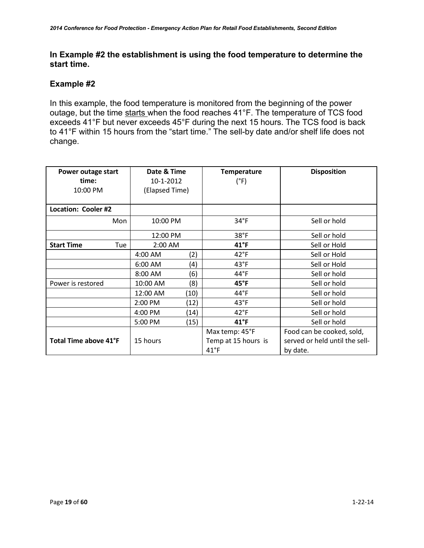### **In Example #2 the establishment is using the food temperature to determine the start time.**

### **Example #2**

In this example, the food temperature is monitored from the beginning of the power outage, but the time starts when the food reaches 41°F. The temperature of TCS food exceeds 41°F but never exceeds 45°F during the next 15 hours. The TCS food is back to 41°F within 15 hours from the "start time." The sell-by date and/or shelf life does not change.

| Power outage start       | Date & Time    |      | <b>Temperature</b>  | <b>Disposition</b>             |
|--------------------------|----------------|------|---------------------|--------------------------------|
| time:                    | 10-1-2012      |      | (°F)                |                                |
| 10:00 PM                 | (Elapsed Time) |      |                     |                                |
|                          |                |      |                     |                                |
| Location: Cooler #2      |                |      |                     |                                |
| Mon                      | 10:00 PM       |      | $34^{\circ}F$       | Sell or hold                   |
|                          | 12:00 PM       |      | 38°F                | Sell or hold                   |
| <b>Start Time</b><br>Tue | 2:00 AM        |      | $41^{\circ}$ F      | Sell or Hold                   |
|                          | 4:00 AM        | (2)  | $42^{\circ}F$       | Sell or Hold                   |
|                          | $6:00$ AM      | (4)  | $43^{\circ}F$       | Sell or Hold                   |
|                          | 8:00 AM        | (6   | $44^{\circ}$ F      | Sell or hold                   |
| Power is restored        | 10:00 AM       | (8)  | $45^{\circ}$ F      | Sell or hold                   |
|                          | 12:00 AM       | (10) | $44^{\circ}F$       | Sell or hold                   |
|                          | 2:00 PM        | (12) | $43^{\circ}F$       | Sell or hold                   |
|                          | 4:00 PM        | (14) | $42^{\circ}F$       | Sell or hold                   |
|                          | 5:00 PM        | (15) | $41^{\circ}$ F      | Sell or hold                   |
|                          |                |      | Max temp: 45°F      | Food can be cooked, sold,      |
| Total Time above 41°F    | 15 hours       |      | Temp at 15 hours is | served or held until the sell- |
|                          |                |      | $41^{\circ}F$       | by date.                       |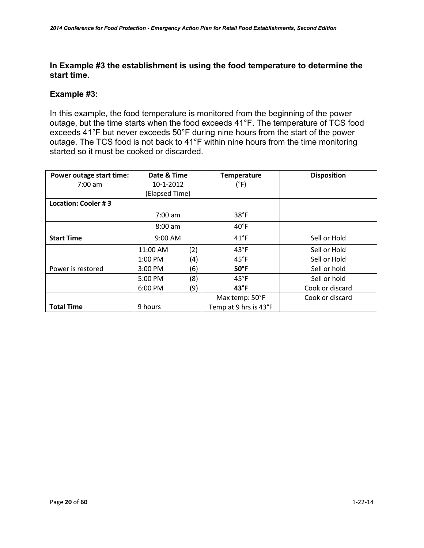### **In Example #3 the establishment is using the food temperature to determine the start time.**

### **Example #3:**

In this example, the food temperature is monitored from the beginning of the power outage, but the time starts when the food exceeds 41°F. The temperature of TCS food exceeds 41°F but never exceeds 50°F during nine hours from the start of the power outage. The TCS food is not back to 41°F within nine hours from the time monitoring started so it must be cooked or discarded.

| Power outage start time: | Date & Time    |     | <b>Temperature</b>    | <b>Disposition</b> |
|--------------------------|----------------|-----|-----------------------|--------------------|
| $7:00 \text{ am}$        | 10-1-2012      |     | $(^{\circ}F)$         |                    |
|                          | (Elapsed Time) |     |                       |                    |
| Location: Cooler #3      |                |     |                       |                    |
|                          | 7:00 am        |     | 38°F                  |                    |
|                          | $8:00$ am      |     | $40^{\circ}$ F        |                    |
| <b>Start Time</b>        | $9:00$ AM      |     | $41^{\circ}F$         | Sell or Hold       |
|                          | 11:00 AM       | (2) | $43^{\circ}F$         | Sell or Hold       |
|                          | 1:00 PM        | (4) | $45^{\circ}$ F        | Sell or Hold       |
| Power is restored        | 3:00 PM        | (6) | $50^{\circ}$ F        | Sell or hold       |
|                          | 5:00 PM        | (8) | $45^{\circ}$ F        | Sell or hold       |
|                          | 6:00 PM        | (9) | $43^{\circ}F$         | Cook or discard    |
|                          |                |     | Max temp: 50°F        | Cook or discard    |
| <b>Total Time</b>        | 9 hours        |     | Temp at 9 hrs is 43°F |                    |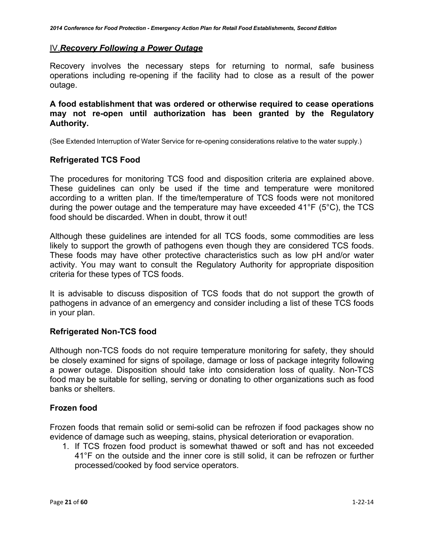### IV.*Recovery Following a Power Outage*

Recovery involves the necessary steps for returning to normal, safe business operations including re-opening if the facility had to close as a result of the power outage.

### **A food establishment that was ordered or otherwise required to cease operations may not re-open until authorization has been granted by the Regulatory Authority.**

(See Extended Interruption of Water Service for re-opening considerations relative to the water supply.)

### **Refrigerated TCS Food**

The procedures for monitoring TCS food and disposition criteria are explained above. These guidelines can only be used if the time and temperature were monitored according to a written plan. If the time/temperature of TCS foods were not monitored during the power outage and the temperature may have exceeded 41°F (5°C), the TCS food should be discarded. When in doubt, throw it out!

Although these guidelines are intended for all TCS foods, some commodities are less likely to support the growth of pathogens even though they are considered TCS foods. These foods may have other protective characteristics such as low pH and/or water activity. You may want to consult the Regulatory Authority for appropriate disposition criteria for these types of TCS foods.

It is advisable to discuss disposition of TCS foods that do not support the growth of pathogens in advance of an emergency and consider including a list of these TCS foods in your plan.

### **Refrigerated Non-TCS food**

Although non-TCS foods do not require temperature monitoring for safety, they should be closely examined for signs of spoilage, damage or loss of package integrity following a power outage. Disposition should take into consideration loss of quality. Non-TCS food may be suitable for selling, serving or donating to other organizations such as food banks or shelters.

### **Frozen food**

Frozen foods that remain solid or semi-solid can be refrozen if food packages show no evidence of damage such as weeping, stains, physical deterioration or evaporation.

1. If TCS frozen food product is somewhat thawed or soft and has not exceeded 41°F on the outside and the inner core is still solid, it can be refrozen or further processed/cooked by food service operators.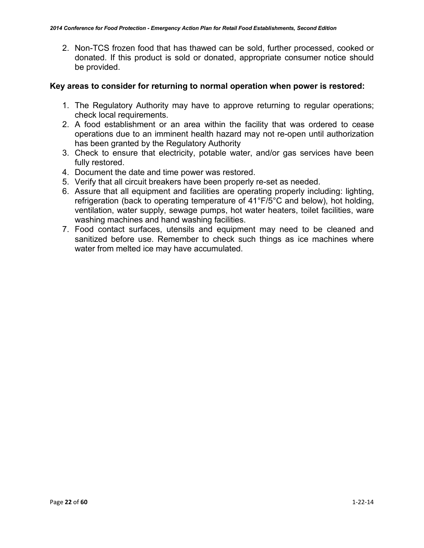2. Non-TCS frozen food that has thawed can be sold, further processed, cooked or donated. If this product is sold or donated, appropriate consumer notice should be provided.

### **Key areas to consider for returning to normal operation when power is restored:**

- 1. The Regulatory Authority may have to approve returning to regular operations; check local requirements.
- 2. A food establishment or an area within the facility that was ordered to cease operations due to an imminent health hazard may not re-open until authorization has been granted by the Regulatory Authority
- 3. Check to ensure that electricity, potable water, and/or gas services have been fully restored.
- 4. Document the date and time power was restored.
- 5. Verify that all circuit breakers have been properly re-set as needed.
- 6. Assure that all equipment and facilities are operating properly including: lighting, refrigeration (back to operating temperature of 41°F/5°C and below), hot holding, ventilation, water supply, sewage pumps, hot water heaters, toilet facilities, ware washing machines and hand washing facilities.
- 7. Food contact surfaces, utensils and equipment may need to be cleaned and sanitized before use. Remember to check such things as ice machines where water from melted ice may have accumulated.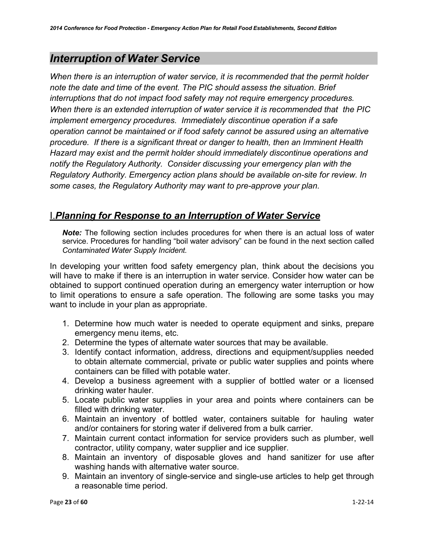# <span id="page-22-0"></span>*Interruption of Water Service*

*When there is an interruption of water service, it is recommended that the permit holder note the date and time of the event. The PIC should assess the situation. Brief interruptions that do not impact food safety may not require emergency procedures. When there is an extended interruption of water service it is recommended that the PIC implement emergency procedures. Immediately discontinue operation if a safe operation cannot be maintained or if food safety cannot be assured using an alternative procedure. If there is a significant threat or danger to health, then an Imminent Health Hazard may exist and the permit holder should immediately discontinue operations and notify the Regulatory Authority. Consider discussing your emergency plan with the Regulatory Authority. Emergency action plans should be available on-site for review. In some cases, the Regulatory Authority may want to pre-approve your plan.*

# I.*Planning for Response to an Interruption of Water Service*

*Note:* The following section includes procedures for when there is an actual loss of water service. Procedures for handling "boil water advisory" can be found in the next section called *Contaminated Water Supply Incident.*

In developing your written food safety emergency plan, think about the decisions you will have to make if there is an interruption in water service. Consider how water can be obtained to support continued operation during an emergency water interruption or how to limit operations to ensure a safe operation. The following are some tasks you may want to include in your plan as appropriate.

- 1. Determine how much water is needed to operate equipment and sinks, prepare emergency menu items, etc.
- 2. Determine the types of alternate water sources that may be available.
- 3. Identify contact information, address, directions and equipment/supplies needed to obtain alternate commercial, private or public water supplies and points where containers can be filled with potable water.
- 4. Develop a business agreement with a supplier of bottled water or a licensed drinking water hauler.
- 5. Locate public water supplies in your area and points where containers can be filled with drinking water.
- 6. Maintain an inventory of bottled water, containers suitable for hauling water and/or containers for storing water if delivered from a bulk carrier.
- 7. Maintain current contact information for service providers such as plumber, well contractor, utility company, water supplier and ice supplier.
- 8. Maintain an inventory of disposable gloves and hand sanitizer for use after washing hands with alternative water source.
- 9. Maintain an inventory of single-service and single-use articles to help get through a reasonable time period.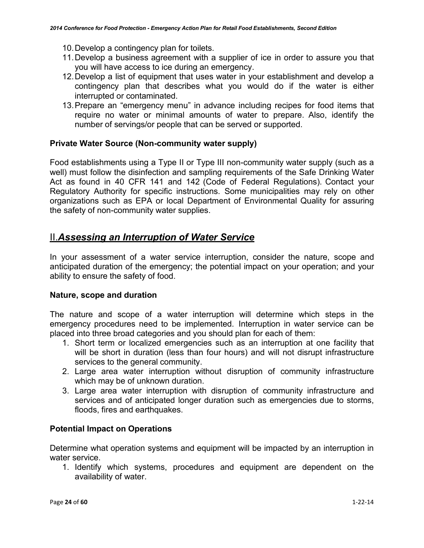- 10.Develop a contingency plan for toilets.
- 11.Develop a business agreement with a supplier of ice in order to assure you that you will have access to ice during an emergency.
- 12.Develop a list of equipment that uses water in your establishment and develop a contingency plan that describes what you would do if the water is either interrupted or contaminated.
- 13.Prepare an "emergency menu" in advance including recipes for food items that require no water or minimal amounts of water to prepare. Also, identify the number of servings/or people that can be served or supported.

### **Private Water Source (Non-community water supply)**

Food establishments using a Type II or Type III non-community water supply (such as a well) must follow the disinfection and sampling requirements of the Safe Drinking Water Act as found in 40 CFR 141 and 142 (Code of Federal Regulations). Contact your Regulatory Authority for specific instructions. Some municipalities may rely on other organizations such as EPA or local Department of Environmental Quality for assuring the safety of non-community water supplies.

# II.*Assessing an Interruption of Water Service*

In your assessment of a water service interruption, consider the nature, scope and anticipated duration of the emergency; the potential impact on your operation; and your ability to ensure the safety of food.

### **Nature, scope and duration**

The nature and scope of a water interruption will determine which steps in the emergency procedures need to be implemented. Interruption in water service can be placed into three broad categories and you should plan for each of them:

- 1. Short term or localized emergencies such as an interruption at one facility that will be short in duration (less than four hours) and will not disrupt infrastructure services to the general community.
- 2. Large area water interruption without disruption of community infrastructure which may be of unknown duration.
- 3. Large area water interruption with disruption of community infrastructure and services and of anticipated longer duration such as emergencies due to storms, floods, fires and earthquakes.

### **Potential Impact on Operations**

Determine what operation systems and equipment will be impacted by an interruption in water service.

1. Identify which systems, procedures and equipment are dependent on the availability of water.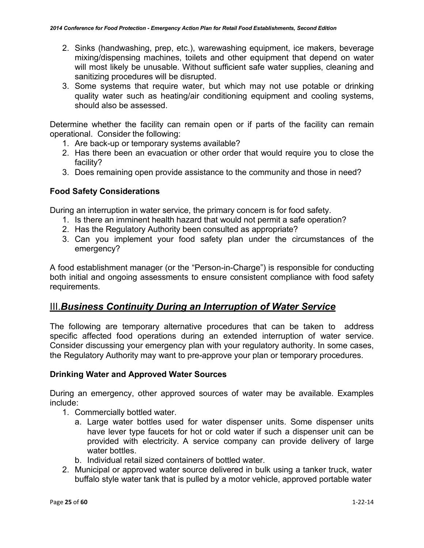- 2. Sinks (handwashing, prep, etc.), warewashing equipment, ice makers, beverage mixing/dispensing machines, toilets and other equipment that depend on water will most likely be unusable. Without sufficient safe water supplies, cleaning and sanitizing procedures will be disrupted.
- 3. Some systems that require water, but which may not use potable or drinking quality water such as heating/air conditioning equipment and cooling systems, should also be assessed.

Determine whether the facility can remain open or if parts of the facility can remain operational. Consider the following:

- 1. Are back-up or temporary systems available?
- 2. Has there been an evacuation or other order that would require you to close the facility?
- 3. Does remaining open provide assistance to the community and those in need?

### **Food Safety Considerations**

During an interruption in water service, the primary concern is for food safety.

- 1. Is there an imminent health hazard that would not permit a safe operation?
- 2. Has the Regulatory Authority been consulted as appropriate?
- 3. Can you implement your food safety plan under the circumstances of the emergency?

A food establishment manager (or the "Person-in-Charge") is responsible for conducting both initial and ongoing assessments to ensure consistent compliance with food safety requirements.

# III.*Business Continuity During an Interruption of Water Service*

The following are temporary alternative procedures that can be taken to address specific affected food operations during an extended interruption of water service. Consider discussing your emergency plan with your regulatory authority. In some cases, the Regulatory Authority may want to pre-approve your plan or temporary procedures.

### **Drinking Water and Approved Water Sources**

During an emergency, other approved sources of water may be available. Examples include:

- 1. Commercially bottled water.
	- a. Large water bottles used for water dispenser units. Some dispenser units have lever type faucets for hot or cold water if such a dispenser unit can be provided with electricity. A service company can provide delivery of large water bottles.
	- b. Individual retail sized containers of bottled water.
- 2. Municipal or approved water source delivered in bulk using a tanker truck, water buffalo style water tank that is pulled by a motor vehicle, approved portable water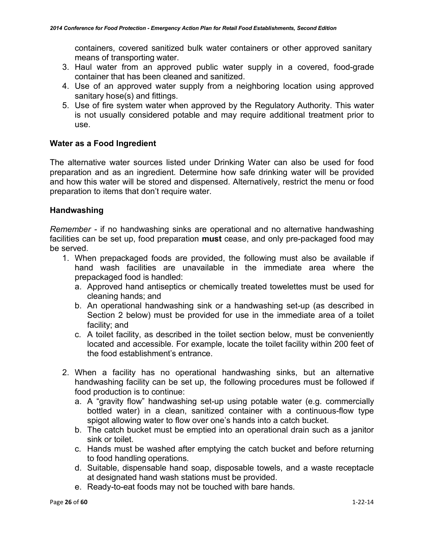containers, covered sanitized bulk water containers or other approved sanitary means of transporting water.

- 3. Haul water from an approved public water supply in a covered, food-grade container that has been cleaned and sanitized.
- 4. Use of an approved water supply from a neighboring location using approved sanitary hose(s) and fittings.
- 5. Use of fire system water when approved by the Regulatory Authority. This water is not usually considered potable and may require additional treatment prior to use.

### **Water as a Food Ingredient**

The alternative water sources listed under Drinking Water can also be used for food preparation and as an ingredient. Determine how safe drinking water will be provided and how this water will be stored and dispensed. Alternatively, restrict the menu or food preparation to items that don't require water.

### **Handwashing**

*Remember -* if no handwashing sinks are operational and no alternative handwashing facilities can be set up, food preparation **must** cease, and only pre-packaged food may be served.

- 1. When prepackaged foods are provided, the following must also be available if hand wash facilities are unavailable in the immediate area where the prepackaged food is handled:
	- a. Approved hand antiseptics or chemically treated towelettes must be used for cleaning hands; and
	- b. An operational handwashing sink or a handwashing set-up (as described in Section 2 below) must be provided for use in the immediate area of a toilet facility; and
	- c. A toilet facility, as described in the toilet section below, must be conveniently located and accessible. For example, locate the toilet facility within 200 feet of the food establishment's entrance.
- 2. When a facility has no operational handwashing sinks, but an alternative handwashing facility can be set up, the following procedures must be followed if food production is to continue:
	- a. A "gravity flow" handwashing set-up using potable water (e.g. commercially bottled water) in a clean, sanitized container with a continuous-flow type spigot allowing water to flow over one's hands into a catch bucket.
	- b. The catch bucket must be emptied into an operational drain such as a janitor sink or toilet.
	- c. Hands must be washed after emptying the catch bucket and before returning to food handling operations.
	- d. Suitable, dispensable hand soap, disposable towels, and a waste receptacle at designated hand wash stations must be provided.
	- e. Ready-to-eat foods may not be touched with bare hands.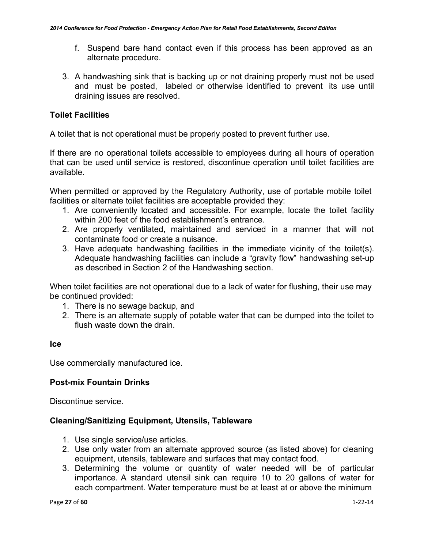- f. Suspend bare hand contact even if this process has been approved as an alternate procedure.
- 3. A handwashing sink that is backing up or not draining properly must not be used and must be posted, labeled or otherwise identified to prevent its use until draining issues are resolved.

### **Toilet Facilities**

A toilet that is not operational must be properly posted to prevent further use.

If there are no operational toilets accessible to employees during all hours of operation that can be used until service is restored, discontinue operation until toilet facilities are available.

When permitted or approved by the Regulatory Authority, use of portable mobile toilet facilities or alternate toilet facilities are acceptable provided they:

- 1. Are conveniently located and accessible. For example, locate the toilet facility within 200 feet of the food establishment's entrance.
- 2. Are properly ventilated, maintained and serviced in a manner that will not contaminate food or create a nuisance.
- 3. Have adequate handwashing facilities in the immediate vicinity of the toilet(s). Adequate handwashing facilities can include a "gravity flow" handwashing set-up as described in Section 2 of the Handwashing section.

When toilet facilities are not operational due to a lack of water for flushing, their use may be continued provided:

- 1. There is no sewage backup, and
- 2. There is an alternate supply of potable water that can be dumped into the toilet to flush waste down the drain.

### **Ice**

Use commercially manufactured ice.

### **Post-mix Fountain Drinks**

Discontinue service.

### **Cleaning/Sanitizing Equipment, Utensils, Tableware**

- 1. Use single service/use articles.
- 2. Use only water from an alternate approved source (as listed above) for cleaning equipment, utensils, tableware and surfaces that may contact food.
- 3. Determining the volume or quantity of water needed will be of particular importance. A standard utensil sink can require 10 to 20 gallons of water for each compartment. Water temperature must be at least at or above the minimum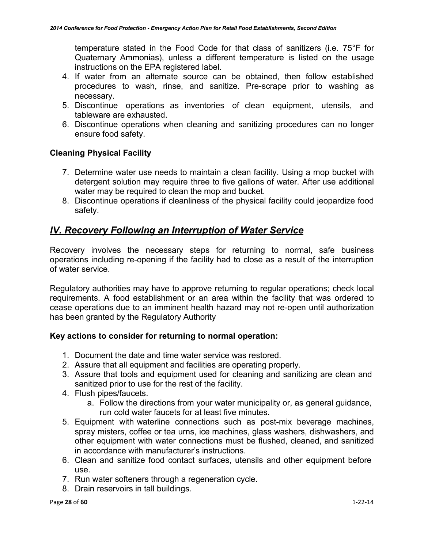temperature stated in the Food Code for that class of sanitizers (i.e. 75°F for Quaternary Ammonias), unless a different temperature is listed on the usage instructions on the EPA registered label.

- 4. If water from an alternate source can be obtained, then follow established procedures to wash, rinse, and sanitize. Pre-scrape prior to washing as necessary.
- 5. Discontinue operations as inventories of clean equipment, utensils, and tableware are exhausted.
- 6. Discontinue operations when cleaning and sanitizing procedures can no longer ensure food safety.

### **Cleaning Physical Facility**

- 7. Determine water use needs to maintain a clean facility. Using a mop bucket with detergent solution may require three to five gallons of water. After use additional water may be required to clean the mop and bucket.
- 8. Discontinue operations if cleanliness of the physical facility could jeopardize food safety.

# *lV. Recovery Following an Interruption of Water Service*

Recovery involves the necessary steps for returning to normal, safe business operations including re-opening if the facility had to close as a result of the interruption of water service.

Regulatory authorities may have to approve returning to regular operations; check local requirements. A food establishment or an area within the facility that was ordered to cease operations due to an imminent health hazard may not re-open until authorization has been granted by the Regulatory Authority

### **Key actions to consider for returning to normal operation:**

- 1. Document the date and time water service was restored.
- 2. Assure that all equipment and facilities are operating properly.
- 3. Assure that tools and equipment used for cleaning and sanitizing are clean and sanitized prior to use for the rest of the facility.
- 4. Flush pipes/faucets.
	- a. Follow the directions from your water municipality or, as general guidance, run cold water faucets for at least five minutes.
- 5. Equipment with waterline connections such as post-mix beverage machines, spray misters, coffee or tea urns, ice machines, glass washers, dishwashers, and other equipment with water connections must be flushed, cleaned, and sanitized in accordance with manufacturer's instructions.
- 6. Clean and sanitize food contact surfaces, utensils and other equipment before use.
- 7. Run water softeners through a regeneration cycle.
- 8. Drain reservoirs in tall buildings.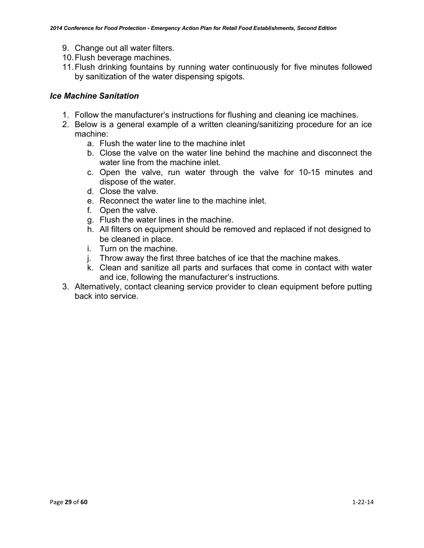- 9. Change out all water filters.
- 10.Flush beverage machines.
- 11.Flush drinking fountains by running water continuously for five minutes followed by sanitization of the water dispensing spigots.

### *Ice Machine Sanitation*

- 1. Follow the manufacturer's instructions for flushing and cleaning ice machines.
- 2. Below is a general example of a written cleaning/sanitizing procedure for an ice machine:
	- a. Flush the water line to the machine inlet
	- b. Close the valve on the water line behind the machine and disconnect the water line from the machine inlet.
	- c. Open the valve, run water through the valve for 10-15 minutes and dispose of the water.
	- d. Close the valve.
	- e. Reconnect the water line to the machine inlet.
	- f. Open the valve.
	- g. Flush the water lines in the machine.
	- h. All filters on equipment should be removed and replaced if not designed to be cleaned in place.
	- i. Turn on the machine.
	- j. Throw away the first three batches of ice that the machine makes.
	- k. Clean and sanitize all parts and surfaces that come in contact with water and ice, following the manufacturer's instructions.
- 3. Alternatively, contact cleaning service provider to clean equipment before putting back into service.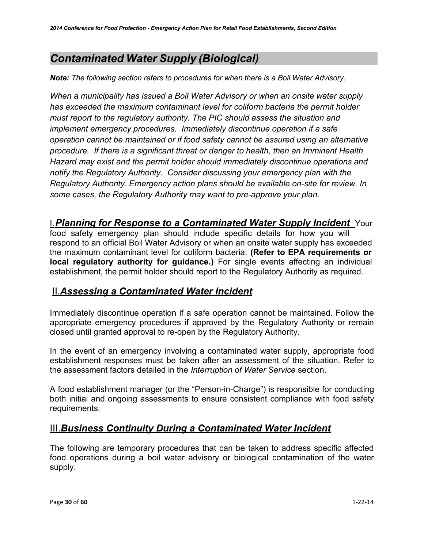# <span id="page-29-0"></span>*Contaminated Water Supply (Biological)*

*Note: The following section refers to procedures for when there is a Boil Water Advisory.*

*When a municipality has issued a Boil Water Advisory or when an onsite water supply has exceeded the maximum contaminant level for coliform bacteria the permit holder must report to the regulatory authority. The PIC should assess the situation and implement emergency procedures. Immediately discontinue operation if a safe operation cannot be maintained or if food safety cannot be assured using an alternative procedure. If there is a significant threat or danger to health, then an Imminent Health Hazard may exist and the permit holder should immediately discontinue operations and notify the Regulatory Authority. Consider discussing your emergency plan with the Regulatory Authority. Emergency action plans should be available on-site for review. In some cases, the Regulatory Authority may want to pre-approve your plan.*

### I.*Planning for Response to a Contaminated Water Supply Incident* Your

food safety emergency plan should include specific details for how you will respond to an official Boil Water Advisory or when an onsite water supply has exceeded the maximum contaminant level for coliform bacteria. **(Refer to EPA requirements or local regulatory authority for guidance.)** For single events affecting an individual establishment, the permit holder should report to the Regulatory Authority as required.

# II.*Assessing a Contaminated Water Incident*

Immediately discontinue operation if a safe operation cannot be maintained. Follow the appropriate emergency procedures if approved by the Regulatory Authority or remain closed until granted approval to re-open by the Regulatory Authority.

In the event of an emergency involving a contaminated water supply, appropriate food establishment responses must be taken after an assessment of the situation. Refer to the assessment factors detailed in the *Interruption of Water Service* section.

A food establishment manager (or the "Person-in-Charge") is responsible for conducting both initial and ongoing assessments to ensure consistent compliance with food safety requirements.

# III.*Business Continuity During a Contaminated Water Incident*

The following are temporary procedures that can be taken to address specific affected food operations during a boil water advisory or biological contamination of the water supply.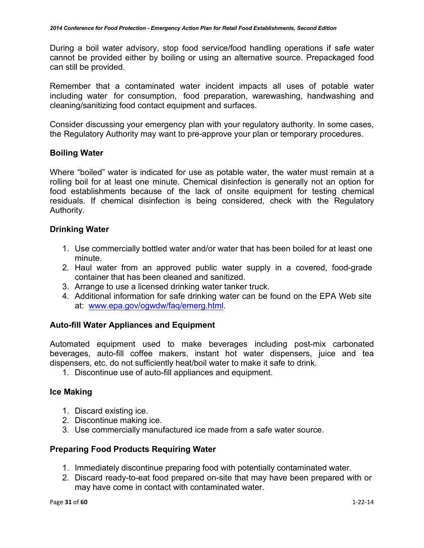During a boil water advisory, stop food service/food handling operations if safe water cannot be provided either by boiling or using an alternative source. Prepackaged food can still be provided.

Remember that a contaminated water incident impacts all uses of potable water including water for consumption, food preparation, warewashing, handwashing and cleaning/sanitizing food contact equipment and surfaces.

Consider discussing your emergency plan with your regulatory authority. In some cases, the Regulatory Authority may want to pre-approve your plan or temporary procedures.

### **Boiling Water**

Where "boiled" water is indicated for use as potable water, the water must remain at a rolling boil for at least one minute. Chemical disinfection is generally not an option for food establishments because of the lack of onsite equipment for testing chemical residuals. If chemical disinfection is being considered, check with the Regulatory Authority.

### **Drinking Water**

- 1. Use commercially bottled water and/or water that has been boiled for at least one minute.
- 2. Haul water from an approved public water supply in a covered, food-grade container that has been cleaned and sanitized.
- 3. Arrange to use a licensed drinking water tanker truck.
- 4. Additional information for safe drinking water can be found on the EPA Web site at: [www.epa.gov/ogwdw/faq/emerg.html.](http://www.epa.gov/ogwdw/faq/emerg.html)

### **Auto-fill Water Appliances and Equipment**

Automated equipment used to make beverages including post-mix carbonated beverages, auto-fill coffee makers, instant hot water dispensers, juice and tea dispensers, etc. do not sufficiently heat/boil water to make it safe to drink.

1. Discontinue use of auto-fill appliances and equipment.

### **Ice Making**

- 1. Discard existing ice.
- 2. Discontinue making ice.
- 3. Use commercially manufactured ice made from a safe water source.

### **Preparing Food Products Requiring Water**

- 1. Immediately discontinue preparing food with potentially contaminated water.
- 2. Discard ready-to-eat food prepared on-site that may have been prepared with or may have come in contact with contaminated water.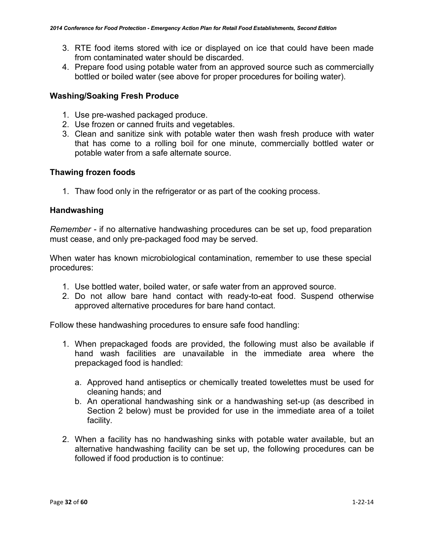- 3. RTE food items stored with ice or displayed on ice that could have been made from contaminated water should be discarded.
- 4. Prepare food using potable water from an approved source such as commercially bottled or boiled water (see above for proper procedures for boiling water).

### **Washing/Soaking Fresh Produce**

- 1. Use pre-washed packaged produce.
- 2. Use frozen or canned fruits and vegetables.
- 3. Clean and sanitize sink with potable water then wash fresh produce with water that has come to a rolling boil for one minute, commercially bottled water or potable water from a safe alternate source.

### **Thawing frozen foods**

1. Thaw food only in the refrigerator or as part of the cooking process.

### **Handwashing**

*Remember -* if no alternative handwashing procedures can be set up, food preparation must cease, and only pre-packaged food may be served.

When water has known microbiological contamination, remember to use these special procedures:

- 1. Use bottled water, boiled water, or safe water from an approved source.
- 2. Do not allow bare hand contact with ready-to-eat food. Suspend otherwise approved alternative procedures for bare hand contact.

Follow these handwashing procedures to ensure safe food handling:

- 1. When prepackaged foods are provided, the following must also be available if hand wash facilities are unavailable in the immediate area where the prepackaged food is handled:
	- a. Approved hand antiseptics or chemically treated towelettes must be used for cleaning hands; and
	- b. An operational handwashing sink or a handwashing set-up (as described in Section 2 below) must be provided for use in the immediate area of a toilet facility.
- 2. When a facility has no handwashing sinks with potable water available, but an alternative handwashing facility can be set up, the following procedures can be followed if food production is to continue: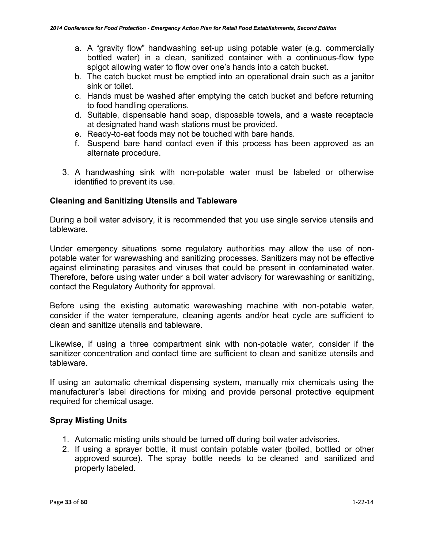- a. A "gravity flow" handwashing set-up using potable water (e.g. commercially bottled water) in a clean, sanitized container with a continuous-flow type spigot allowing water to flow over one's hands into a catch bucket.
- b. The catch bucket must be emptied into an operational drain such as a janitor sink or toilet.
- c. Hands must be washed after emptying the catch bucket and before returning to food handling operations.
- d. Suitable, dispensable hand soap, disposable towels, and a waste receptacle at designated hand wash stations must be provided.
- e. Ready-to-eat foods may not be touched with bare hands.
- f. Suspend bare hand contact even if this process has been approved as an alternate procedure.
- 3. A handwashing sink with non-potable water must be labeled or otherwise identified to prevent its use.

### **Cleaning and Sanitizing Utensils and Tableware**

During a boil water advisory, it is recommended that you use single service utensils and tableware.

Under emergency situations some regulatory authorities may allow the use of nonpotable water for warewashing and sanitizing processes*.* Sanitizers may not be effective against eliminating parasites and viruses that could be present in contaminated water. Therefore, before using water under a boil water advisory for warewashing or sanitizing, contact the Regulatory Authority for approval.

Before using the existing automatic warewashing machine with non-potable water, consider if the water temperature, cleaning agents and/or heat cycle are sufficient to clean and sanitize utensils and tableware.

Likewise, if using a three compartment sink with non-potable water, consider if the sanitizer concentration and contact time are sufficient to clean and sanitize utensils and tableware.

If using an automatic chemical dispensing system, manually mix chemicals using the manufacturer's label directions for mixing and provide personal protective equipment required for chemical usage.

### **Spray Misting Units**

- 1. Automatic misting units should be turned off during boil water advisories.
- 2. If using a sprayer bottle, it must contain potable water (boiled, bottled or other approved source). The spray bottle needs to be cleaned and sanitized and properly labeled.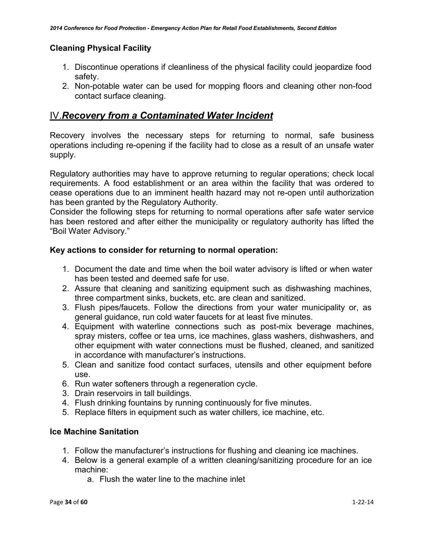### **Cleaning Physical Facility**

- 1. Discontinue operations if cleanliness of the physical facility could jeopardize food safety.
- 2. Non-potable water can be used for mopping floors and cleaning other non-food contact surface cleaning.

# IV.*Recovery from a Contaminated Water Incident*

Recovery involves the necessary steps for returning to normal, safe business operations including re-opening if the facility had to close as a result of an unsafe water supply.

Regulatory authorities may have to approve returning to regular operations; check local requirements. A food establishment or an area within the facility that was ordered to cease operations due to an imminent health hazard may not re-open until authorization has been granted by the Regulatory Authority.

Consider the following steps for returning to normal operations after safe water service has been restored and after either the municipality or regulatory authority has lifted the "Boil Water Advisory."

### **Key actions to consider for returning to normal operation:**

- 1. Document the date and time when the boil water advisory is lifted or when water has been tested and deemed safe for use.
- 2. Assure that cleaning and sanitizing equipment such as dishwashing machines, three compartment sinks, buckets, etc. are clean and sanitized.
- 3. Flush pipes/faucets. Follow the directions from your water municipality or, as general guidance, run cold water faucets for at least five minutes.
- 4. Equipment with waterline connections such as post-mix beverage machines, spray misters, coffee or tea urns, ice machines, glass washers, dishwashers, and other equipment with water connections must be flushed, cleaned, and sanitized in accordance with manufacturer's instructions.
- 5. Clean and sanitize food contact surfaces, utensils and other equipment before use.
- 6. Run water softeners through a regeneration cycle.
- 3. Drain reservoirs in tall buildings.
- 4. Flush drinking fountains by running continuously for five minutes.
- 5. Replace filters in equipment such as water chillers, ice machine, etc.

### **Ice Machine Sanitation**

- 1. Follow the manufacturer's instructions for flushing and cleaning ice machines.
- 4. Below is a general example of a written cleaning/sanitizing procedure for an ice machine:
	- a. Flush the water line to the machine inlet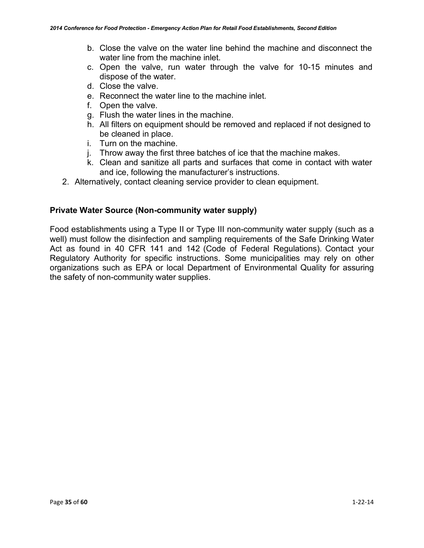- b. Close the valve on the water line behind the machine and disconnect the water line from the machine inlet.
- c. Open the valve, run water through the valve for 10-15 minutes and dispose of the water.
- d. Close the valve.
- e. Reconnect the water line to the machine inlet.
- f. Open the valve.
- g. Flush the water lines in the machine.
- h. All filters on equipment should be removed and replaced if not designed to be cleaned in place.
- i. Turn on the machine.
- j. Throw away the first three batches of ice that the machine makes.
- k. Clean and sanitize all parts and surfaces that come in contact with water and ice, following the manufacturer's instructions.
- 2. Alternatively, contact cleaning service provider to clean equipment.

### **Private Water Source (Non-community water supply)**

Food establishments using a Type II or Type III non-community water supply (such as a well) must follow the disinfection and sampling requirements of the Safe Drinking Water Act as found in 40 CFR 141 and 142 (Code of Federal Regulations). Contact your Regulatory Authority for specific instructions. Some municipalities may rely on other organizations such as EPA or local Department of Environmental Quality for assuring the safety of non-community water supplies.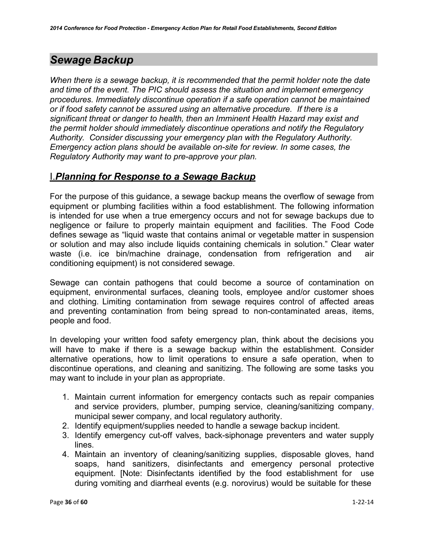# <span id="page-35-0"></span>*Sewage Backup*

*When there is a sewage backup, it is recommended that the permit holder note the date and time of the event. The PIC should assess the situation and implement emergency procedures. Immediately discontinue operation if a safe operation cannot be maintained or if food safety cannot be assured using an alternative procedure. If there is a significant threat or danger to health, then an Imminent Health Hazard may exist and the permit holder should immediately discontinue operations and notify the Regulatory Authority. Consider discussing your emergency plan with the Regulatory Authority. Emergency action plans should be available on-site for review. In some cases, the Regulatory Authority may want to pre-approve your plan.*

### I.*Planning for Response to a Sewage Backup*

For the purpose of this guidance, a sewage backup means the overflow of sewage from equipment or plumbing facilities within a food establishment. The following information is intended for use when a true emergency occurs and not for sewage backups due to negligence or failure to properly maintain equipment and facilities. The Food Code defines sewage as "liquid waste that contains animal or vegetable matter in suspension or solution and may also include liquids containing chemicals in solution." Clear water waste (i.e. ice bin/machine drainage, condensation from refrigeration and air conditioning equipment) is not considered sewage.

Sewage can contain pathogens that could become a source of contamination on equipment, environmental surfaces, cleaning tools, employee and/or customer shoes and clothing. Limiting contamination from sewage requires control of affected areas and preventing contamination from being spread to non-contaminated areas, items, people and food.

In developing your written food safety emergency plan, think about the decisions you will have to make if there is a sewage backup within the establishment. Consider alternative operations, how to limit operations to ensure a safe operation, when to discontinue operations, and cleaning and sanitizing. The following are some tasks you may want to include in your plan as appropriate.

- 1. Maintain current information for emergency contacts such as repair companies and service providers, plumber, pumping service, cleaning/sanitizing company, municipal sewer company, and local regulatory authority.
- 2. Identify equipment/supplies needed to handle a sewage backup incident.
- 3. Identify emergency cut-off valves, back-siphonage preventers and water supply lines.
- 4. Maintain an inventory of cleaning/sanitizing supplies, disposable gloves, hand soaps, hand sanitizers, disinfectants and emergency personal protective equipment. [Note: Disinfectants identified by the food establishment for use during vomiting and diarrheal events (e.g. norovirus) would be suitable for these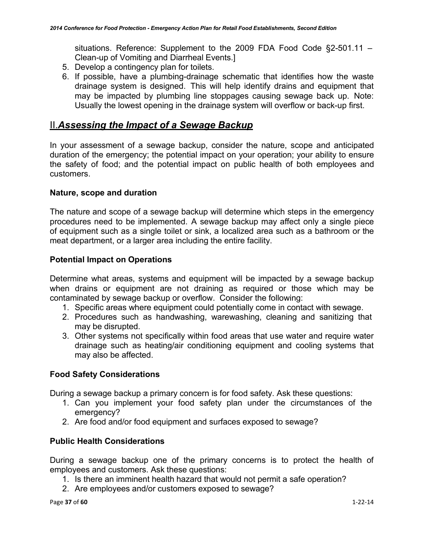situations. Reference: Supplement to the 2009 FDA Food Code §2-501.11 – Clean-up of Vomiting and Diarrheal Events.]

- 5. Develop a contingency plan for toilets.
- 6. If possible, have a plumbing-drainage schematic that identifies how the waste drainage system is designed. This will help identify drains and equipment that may be impacted by plumbing line stoppages causing sewage back up. Note: Usually the lowest opening in the drainage system will overflow or back-up first.

### II.*Assessing the Impact of a Sewage Backup*

In your assessment of a sewage backup, consider the nature, scope and anticipated duration of the emergency; the potential impact on your operation; your ability to ensure the safety of food; and the potential impact on public health of both employees and customers.

### **Nature, scope and duration**

The nature and scope of a sewage backup will determine which steps in the emergency procedures need to be implemented. A sewage backup may affect only a single piece of equipment such as a single toilet or sink, a localized area such as a bathroom or the meat department, or a larger area including the entire facility.

### **Potential Impact on Operations**

Determine what areas, systems and equipment will be impacted by a sewage backup when drains or equipment are not draining as required or those which may be contaminated by sewage backup or overflow. Consider the following:

- 1. Specific areas where equipment could potentially come in contact with sewage.
- 2. Procedures such as handwashing, warewashing, cleaning and sanitizing that may be disrupted.
- 3. Other systems not specifically within food areas that use water and require water drainage such as heating/air conditioning equipment and cooling systems that may also be affected.

### **Food Safety Considerations**

During a sewage backup a primary concern is for food safety. Ask these questions:

- 1. Can you implement your food safety plan under the circumstances of the emergency?
- 2. Are food and/or food equipment and surfaces exposed to sewage?

### **Public Health Considerations**

During a sewage backup one of the primary concerns is to protect the health of employees and customers. Ask these questions:

- 1. Is there an imminent health hazard that would not permit a safe operation?
- 2. Are employees and/or customers exposed to sewage?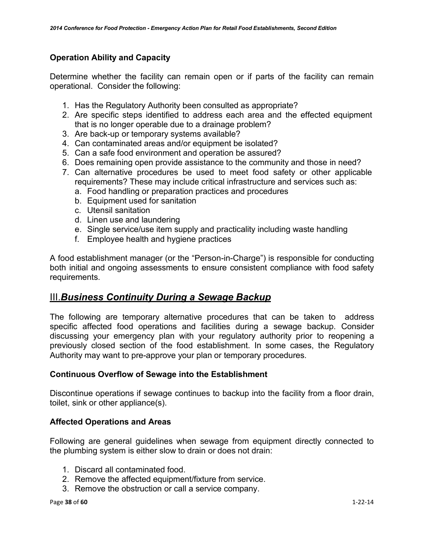### **Operation Ability and Capacity**

Determine whether the facility can remain open or if parts of the facility can remain operational. Consider the following:

- 1. Has the Regulatory Authority been consulted as appropriate?
- 2. Are specific steps identified to address each area and the effected equipment that is no longer operable due to a drainage problem?
- 3. Are back-up or temporary systems available?
- 4. Can contaminated areas and/or equipment be isolated?
- 5. Can a safe food environment and operation be assured?
- 6. Does remaining open provide assistance to the community and those in need?
- 7. Can alternative procedures be used to meet food safety or other applicable requirements? These may include critical infrastructure and services such as:
	- a. Food handling or preparation practices and procedures
	- b. Equipment used for sanitation
	- c. Utensil sanitation
	- d. Linen use and laundering
	- e. Single service/use item supply and practicality including waste handling
	- f. Employee health and hygiene practices

A food establishment manager (or the "Person-in-Charge") is responsible for conducting both initial and ongoing assessments to ensure consistent compliance with food safety requirements.

### III.*Business Continuity During a Sewage Backup*

The following are temporary alternative procedures that can be taken to address specific affected food operations and facilities during a sewage backup. Consider discussing your emergency plan with your regulatory authority prior to reopening a previously closed section of the food establishment. In some cases, the Regulatory Authority may want to pre-approve your plan or temporary procedures.

### **Continuous Overflow of Sewage into the Establishment**

Discontinue operations if sewage continues to backup into the facility from a floor drain, toilet, sink or other appliance(s).

### **Affected Operations and Areas**

Following are general guidelines when sewage from equipment directly connected to the plumbing system is either slow to drain or does not drain:

- 1. Discard all contaminated food.
- 2. Remove the affected equipment/fixture from service.
- 3. Remove the obstruction or call a service company.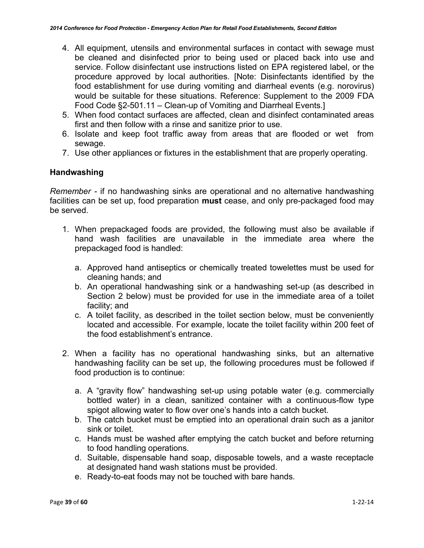- 4. All equipment, utensils and environmental surfaces in contact with sewage must be cleaned and disinfected prior to being used or placed back into use and service. Follow disinfectant use instructions listed on EPA registered label, or the procedure approved by local authorities. [Note: Disinfectants identified by the food establishment for use during vomiting and diarrheal events (e.g. norovirus) would be suitable for these situations. Reference: Supplement to the 2009 FDA Food Code §2-501.11 – Clean-up of Vomiting and Diarrheal Events.]
- 5. When food contact surfaces are affected, clean and disinfect contaminated areas first and then follow with a rinse and sanitize prior to use.
- 6. Isolate and keep foot traffic away from areas that are flooded or wet from sewage.
- 7. Use other appliances or fixtures in the establishment that are properly operating.

### **Handwashing**

*Remember -* if no handwashing sinks are operational and no alternative handwashing facilities can be set up, food preparation **must** cease, and only pre-packaged food may be served.

- 1. When prepackaged foods are provided, the following must also be available if hand wash facilities are unavailable in the immediate area where the prepackaged food is handled:
	- a. Approved hand antiseptics or chemically treated towelettes must be used for cleaning hands; and
	- b. An operational handwashing sink or a handwashing set-up (as described in Section 2 below) must be provided for use in the immediate area of a toilet facility; and
	- c. A toilet facility, as described in the toilet section below, must be conveniently located and accessible. For example, locate the toilet facility within 200 feet of the food establishment's entrance.
- 2. When a facility has no operational handwashing sinks, but an alternative handwashing facility can be set up, the following procedures must be followed if food production is to continue:
	- a. A "gravity flow" handwashing set-up using potable water (e.g. commercially bottled water) in a clean, sanitized container with a continuous-flow type spigot allowing water to flow over one's hands into a catch bucket.
	- b. The catch bucket must be emptied into an operational drain such as a janitor sink or toilet.
	- c. Hands must be washed after emptying the catch bucket and before returning to food handling operations.
	- d. Suitable, dispensable hand soap, disposable towels, and a waste receptacle at designated hand wash stations must be provided.
	- e. Ready-to-eat foods may not be touched with bare hands.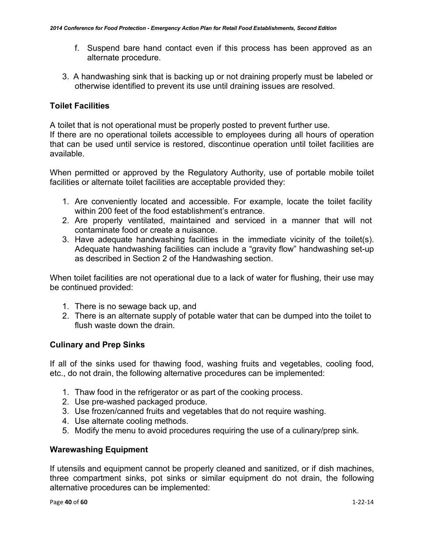- f. Suspend bare hand contact even if this process has been approved as an alternate procedure.
- 3. A handwashing sink that is backing up or not draining properly must be labeled or otherwise identified to prevent its use until draining issues are resolved.

### **Toilet Facilities**

A toilet that is not operational must be properly posted to prevent further use. If there are no operational toilets accessible to employees during all hours of operation that can be used until service is restored, discontinue operation until toilet facilities are available.

When permitted or approved by the Regulatory Authority, use of portable mobile toilet facilities or alternate toilet facilities are acceptable provided they:

- 1. Are conveniently located and accessible. For example, locate the toilet facility within 200 feet of the food establishment's entrance.
- 2. Are properly ventilated, maintained and serviced in a manner that will not contaminate food or create a nuisance.
- 3. Have adequate handwashing facilities in the immediate vicinity of the toilet(s). Adequate handwashing facilities can include a "gravity flow" handwashing set-up as described in Section 2 of the Handwashing section.

When toilet facilities are not operational due to a lack of water for flushing, their use may be continued provided:

- 1. There is no sewage back up, and
- 2. There is an alternate supply of potable water that can be dumped into the toilet to flush waste down the drain.

### **Culinary and Prep Sinks**

If all of the sinks used for thawing food, washing fruits and vegetables, cooling food, etc., do not drain, the following alternative procedures can be implemented:

- 1. Thaw food in the refrigerator or as part of the cooking process.
- 2. Use pre-washed packaged produce.
- 3. Use frozen/canned fruits and vegetables that do not require washing.
- 4. Use alternate cooling methods.
- 5. Modify the menu to avoid procedures requiring the use of a culinary/prep sink.

### **Warewashing Equipment**

If utensils and equipment cannot be properly cleaned and sanitized, or if dish machines, three compartment sinks, pot sinks or similar equipment do not drain, the following alternative procedures can be implemented: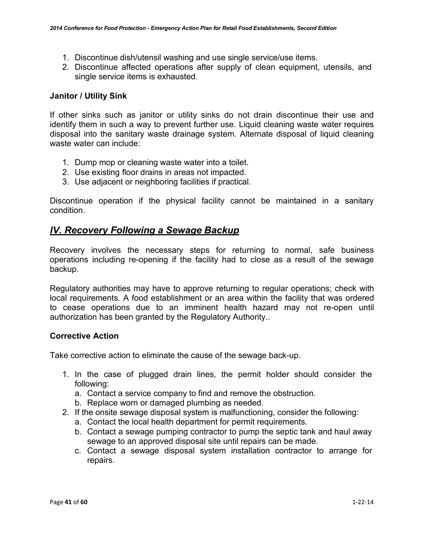- 1. Discontinue dish/utensil washing and use single service/use items.
- 2. Discontinue affected operations after supply of clean equipment, utensils, and single service items is exhausted.

### **Janitor / Utility Sink**

If other sinks such as janitor or utility sinks do not drain discontinue their use and identify them in such a way to prevent further use. Liquid cleaning waste water requires disposal into the sanitary waste drainage system. Alternate disposal of liquid cleaning waste water can include:

- 1. Dump mop or cleaning waste water into a toilet.
- 2. Use existing floor drains in areas not impacted.
- 3. Use adjacent or neighboring facilities if practical.

Discontinue operation if the physical facility cannot be maintained in a sanitary condition.

### *lV. Recovery Following a Sewage Backup*

Recovery involves the necessary steps for returning to normal, safe business operations including re-opening if the facility had to close as a result of the sewage backup.

Regulatory authorities may have to approve returning to regular operations; check with local requirements. A food establishment or an area within the facility that was ordered to cease operations due to an imminent health hazard may not re-open until authorization has been granted by the Regulatory Authority..

### **Corrective Action**

Take corrective action to eliminate the cause of the sewage back-up.

- 1. In the case of plugged drain lines, the permit holder should consider the following:
	- a. Contact a service company to find and remove the obstruction.
	- b. Replace worn or damaged plumbing as needed.
- 2. If the onsite sewage disposal system is malfunctioning, consider the following:
	- a. Contact the local health department for permit requirements.
	- b. Contact a sewage pumping contractor to pump the septic tank and haul away sewage to an approved disposal site until repairs can be made.
	- c. Contact a sewage disposal system installation contractor to arrange for repairs.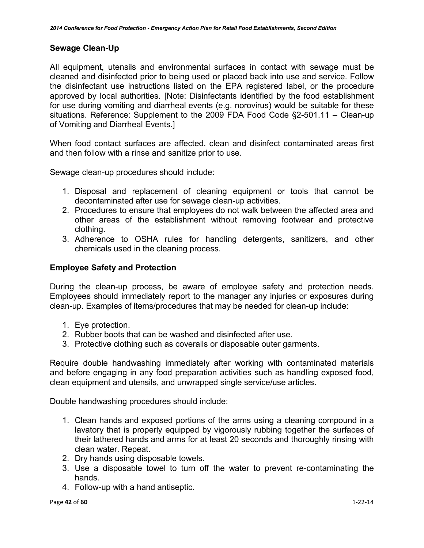### **Sewage Clean-Up**

All equipment, utensils and environmental surfaces in contact with sewage must be cleaned and disinfected prior to being used or placed back into use and service. Follow the disinfectant use instructions listed on the EPA registered label, or the procedure approved by local authorities. [Note: Disinfectants identified by the food establishment for use during vomiting and diarrheal events (e.g. norovirus) would be suitable for these situations. Reference: Supplement to the 2009 FDA Food Code §2-501.11 – Clean-up of Vomiting and Diarrheal Events.]

When food contact surfaces are affected, clean and disinfect contaminated areas first and then follow with a rinse and sanitize prior to use.

Sewage clean-up procedures should include:

- 1. Disposal and replacement of cleaning equipment or tools that cannot be decontaminated after use for sewage clean-up activities.
- 2. Procedures to ensure that employees do not walk between the affected area and other areas of the establishment without removing footwear and protective clothing.
- 3. Adherence to OSHA rules for handling detergents, sanitizers, and other chemicals used in the cleaning process.

### **Employee Safety and Protection**

During the clean-up process, be aware of employee safety and protection needs. Employees should immediately report to the manager any injuries or exposures during clean-up. Examples of items/procedures that may be needed for clean-up include:

- 1. Eye protection.
- 2. Rubber boots that can be washed and disinfected after use.
- 3. Protective clothing such as coveralls or disposable outer garments.

Require double handwashing immediately after working with contaminated materials and before engaging in any food preparation activities such as handling exposed food, clean equipment and utensils, and unwrapped single service/use articles.

Double handwashing procedures should include:

- 1. Clean hands and exposed portions of the arms using a cleaning compound in a lavatory that is properly equipped by vigorously rubbing together the surfaces of their lathered hands and arms for at least 20 seconds and thoroughly rinsing with clean water. Repeat.
- 2. Dry hands using disposable towels.
- 3. Use a disposable towel to turn off the water to prevent re-contaminating the hands.
- 4. Follow-up with a hand antiseptic.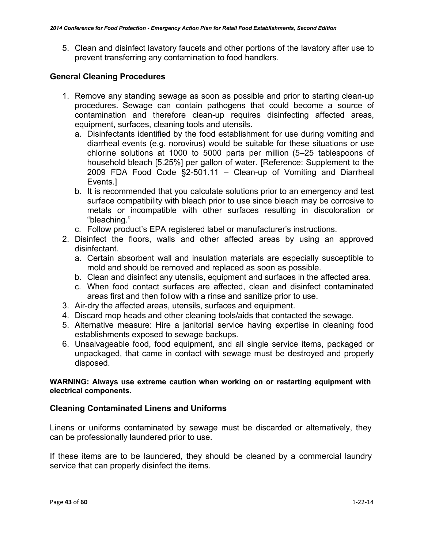5. Clean and disinfect lavatory faucets and other portions of the lavatory after use to prevent transferring any contamination to food handlers.

### **General Cleaning Procedures**

- 1. Remove any standing sewage as soon as possible and prior to starting clean-up procedures. Sewage can contain pathogens that could become a source of contamination and therefore clean-up requires disinfecting affected areas, equipment, surfaces, cleaning tools and utensils.
	- a. Disinfectants identified by the food establishment for use during vomiting and diarrheal events (e.g. norovirus) would be suitable for these situations or use chlorine solutions at 1000 to 5000 parts per million (5–25 tablespoons of household bleach [5.25%] per gallon of water. [Reference: Supplement to the 2009 FDA Food Code §2-501.11 - Clean-up of Vomiting and Diarrheal Events.]
	- b. It is recommended that you calculate solutions prior to an emergency and test surface compatibility with bleach prior to use since bleach may be corrosive to metals or incompatible with other surfaces resulting in discoloration or "bleaching."
	- c. Follow product's EPA registered label or manufacturer's instructions.
- 2. Disinfect the floors, walls and other affected areas by using an approved disinfectant.
	- a. Certain absorbent wall and insulation materials are especially susceptible to mold and should be removed and replaced as soon as possible.
	- b. Clean and disinfect any utensils, equipment and surfaces in the affected area.
	- c. When food contact surfaces are affected, clean and disinfect contaminated areas first and then follow with a rinse and sanitize prior to use.
- 3. Air-dry the affected areas, utensils, surfaces and equipment.
- 4. Discard mop heads and other cleaning tools/aids that contacted the sewage.
- 5. Alternative measure: Hire a janitorial service having expertise in cleaning food establishments exposed to sewage backups.
- 6. Unsalvageable food, food equipment, and all single service items, packaged or unpackaged, that came in contact with sewage must be destroyed and properly disposed.

### **WARNING: Always use extreme caution when working on or restarting equipment with electrical components.**

### **Cleaning Contaminated Linens and Uniforms**

Linens or uniforms contaminated by sewage must be discarded or alternatively, they can be professionally laundered prior to use.

If these items are to be laundered, they should be cleaned by a commercial laundry service that can properly disinfect the items.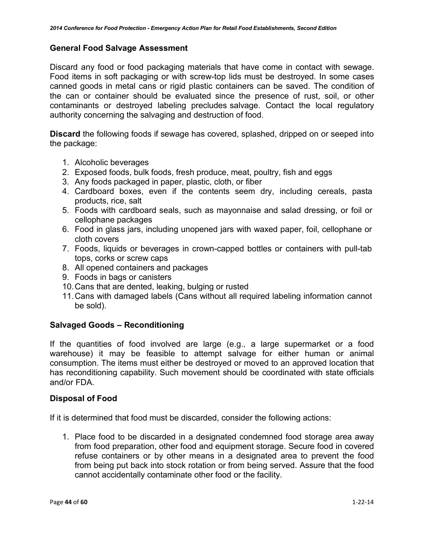### **General Food Salvage Assessment**

Discard any food or food packaging materials that have come in contact with sewage. Food items in soft packaging or with screw-top lids must be destroyed. In some cases canned goods in metal cans or rigid plastic containers can be saved. The condition of the can or container should be evaluated since the presence of rust, soil, or other contaminants or destroyed labeling precludes salvage. Contact the local regulatory authority concerning the salvaging and destruction of food.

**Discard** the following foods if sewage has covered, splashed, dripped on or seeped into the package:

- 1. Alcoholic beverages
- 2. Exposed foods, bulk foods, fresh produce, meat, poultry, fish and eggs
- 3. Any foods packaged in paper, plastic, cloth, or fiber
- 4. Cardboard boxes, even if the contents seem dry, including cereals, pasta products, rice, salt
- 5. Foods with cardboard seals, such as mayonnaise and salad dressing, or foil or cellophane packages
- 6. Food in glass jars, including unopened jars with waxed paper, foil, cellophane or cloth covers
- 7. Foods, liquids or beverages in crown-capped bottles or containers with pull-tab tops, corks or screw caps
- 8. All opened containers and packages
- 9. Foods in bags or canisters
- 10.Cans that are dented, leaking, bulging or rusted
- 11.Cans with damaged labels (Cans without all required labeling information cannot be sold).

### **Salvaged Goods – Reconditioning**

If the quantities of food involved are large (e.g., a large supermarket or a food warehouse) it may be feasible to attempt salvage for either human or animal consumption. The items must either be destroyed or moved to an approved location that has reconditioning capability. Such movement should be coordinated with state officials and/or FDA.

### **Disposal of Food**

If it is determined that food must be discarded, consider the following actions:

1. Place food to be discarded in a designated condemned food storage area away from food preparation, other food and equipment storage. Secure food in covered refuse containers or by other means in a designated area to prevent the food from being put back into stock rotation or from being served. Assure that the food cannot accidentally contaminate other food or the facility.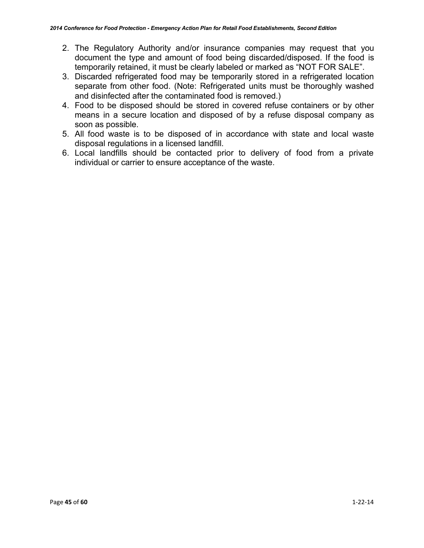- 2. The Regulatory Authority and/or insurance companies may request that you document the type and amount of food being discarded/disposed. If the food is temporarily retained, it must be clearly labeled or marked as "NOT FOR SALE".
- 3. Discarded refrigerated food may be temporarily stored in a refrigerated location separate from other food. (Note: Refrigerated units must be thoroughly washed and disinfected after the contaminated food is removed.)
- 4. Food to be disposed should be stored in covered refuse containers or by other means in a secure location and disposed of by a refuse disposal company as soon as possible.
- 5. All food waste is to be disposed of in accordance with state and local waste disposal regulations in a licensed landfill.
- 6. Local landfills should be contacted prior to delivery of food from a private individual or carrier to ensure acceptance of the waste.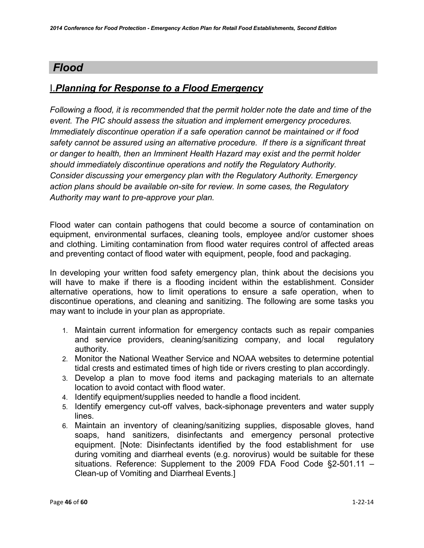# *Flood*

# I.*Planning for Response to a Flood Emergency*

*Following a flood, it is recommended that the permit holder note the date and time of the event. The PIC should assess the situation and implement emergency procedures. Immediately discontinue operation if a safe operation cannot be maintained or if food safety cannot be assured using an alternative procedure. If there is a significant threat or danger to health, then an Imminent Health Hazard may exist and the permit holder should immediately discontinue operations and notify the Regulatory Authority. Consider discussing your emergency plan with the Regulatory Authority. Emergency action plans should be available on-site for review. In some cases, the Regulatory Authority may want to pre-approve your plan.*

Flood water can contain pathogens that could become a source of contamination on equipment, environmental surfaces, cleaning tools, employee and/or customer shoes and clothing. Limiting contamination from flood water requires control of affected areas and preventing contact of flood water with equipment, people, food and packaging.

In developing your written food safety emergency plan, think about the decisions you will have to make if there is a flooding incident within the establishment. Consider alternative operations, how to limit operations to ensure a safe operation, when to discontinue operations, and cleaning and sanitizing. The following are some tasks you may want to include in your plan as appropriate.

- 1. Maintain current information for emergency contacts such as repair companies and service providers, cleaning/sanitizing company, and local regulatory authority.
- 2. Monitor the National Weather Service and NOAA websites to determine potential tidal crests and estimated times of high tide or rivers cresting to plan accordingly.
- 3. Develop a plan to move food items and packaging materials to an alternate location to avoid contact with flood water.
- 4. Identify equipment/supplies needed to handle a flood incident.
- 5. Identify emergency cut-off valves, back-siphonage preventers and water supply lines.
- 6. Maintain an inventory of cleaning/sanitizing supplies, disposable gloves, hand soaps, hand sanitizers, disinfectants and emergency personal protective equipment. [Note: Disinfectants identified by the food establishment for use during vomiting and diarrheal events (e.g. norovirus) would be suitable for these situations. Reference: Supplement to the 2009 FDA Food Code §2-501.11 – Clean-up of Vomiting and Diarrheal Events.]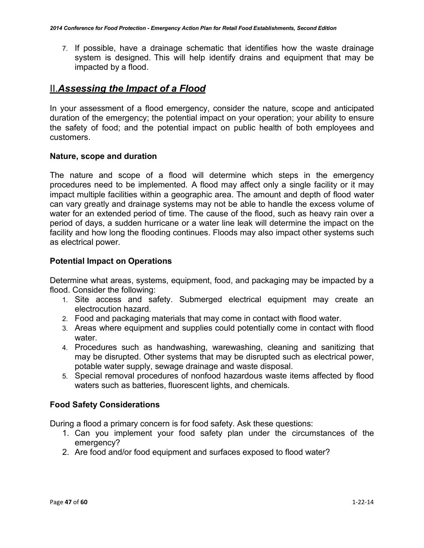7. If possible, have a drainage schematic that identifies how the waste drainage system is designed. This will help identify drains and equipment that may be impacted by a flood.

# II.*Assessing the Impact of a Flood*

In your assessment of a flood emergency, consider the nature, scope and anticipated duration of the emergency; the potential impact on your operation; your ability to ensure the safety of food; and the potential impact on public health of both employees and customers.

### **Nature, scope and duration**

The nature and scope of a flood will determine which steps in the emergency procedures need to be implemented. A flood may affect only a single facility or it may impact multiple facilities within a geographic area. The amount and depth of flood water can vary greatly and drainage systems may not be able to handle the excess volume of water for an extended period of time. The cause of the flood, such as heavy rain over a period of days, a sudden hurricane or a water line leak will determine the impact on the facility and how long the flooding continues. Floods may also impact other systems such as electrical power.

### **Potential Impact on Operations**

Determine what areas, systems, equipment, food, and packaging may be impacted by a flood. Consider the following:

- 1. Site access and safety. Submerged electrical equipment may create an electrocution hazard.
- 2. Food and packaging materials that may come in contact with flood water.
- 3. Areas where equipment and supplies could potentially come in contact with flood water.
- 4. Procedures such as handwashing, warewashing, cleaning and sanitizing that may be disrupted. Other systems that may be disrupted such as electrical power, potable water supply, sewage drainage and waste disposal.
- 5. Special removal procedures of nonfood hazardous waste items affected by flood waters such as batteries, fluorescent lights, and chemicals.

### **Food Safety Considerations**

During a flood a primary concern is for food safety. Ask these questions:

- 1. Can you implement your food safety plan under the circumstances of the emergency?
- 2. Are food and/or food equipment and surfaces exposed to flood water?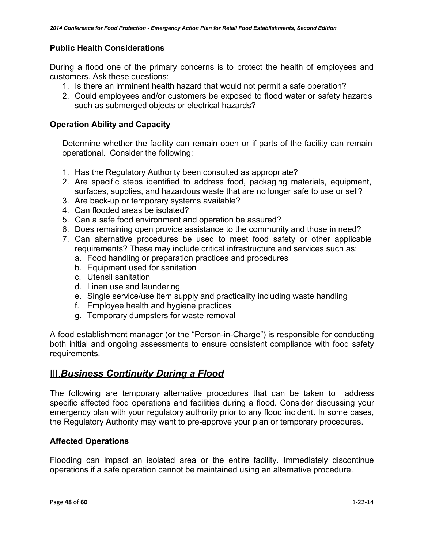### **Public Health Considerations**

During a flood one of the primary concerns is to protect the health of employees and customers. Ask these questions:

- 1. Is there an imminent health hazard that would not permit a safe operation?
- 2. Could employees and/or customers be exposed to flood water or safety hazards such as submerged objects or electrical hazards?

### **Operation Ability and Capacity**

Determine whether the facility can remain open or if parts of the facility can remain operational. Consider the following:

- 1. Has the Regulatory Authority been consulted as appropriate?
- 2. Are specific steps identified to address food, packaging materials, equipment, surfaces, supplies, and hazardous waste that are no longer safe to use or sell?
- 3. Are back-up or temporary systems available?
- 4. Can flooded areas be isolated?
- 5. Can a safe food environment and operation be assured?
- 6. Does remaining open provide assistance to the community and those in need?
- 7. Can alternative procedures be used to meet food safety or other applicable requirements? These may include critical infrastructure and services such as:
	- a. Food handling or preparation practices and procedures
	- b. Equipment used for sanitation
	- c. Utensil sanitation
	- d. Linen use and laundering
	- e. Single service/use item supply and practicality including waste handling
	- f. Employee health and hygiene practices
	- g. Temporary dumpsters for waste removal

A food establishment manager (or the "Person-in-Charge") is responsible for conducting both initial and ongoing assessments to ensure consistent compliance with food safety requirements.

# III.*Business Continuity During a Flood*

The following are temporary alternative procedures that can be taken to address specific affected food operations and facilities during a flood. Consider discussing your emergency plan with your regulatory authority prior to any flood incident. In some cases, the Regulatory Authority may want to pre-approve your plan or temporary procedures.

### **Affected Operations**

Flooding can impact an isolated area or the entire facility. Immediately discontinue operations if a safe operation cannot be maintained using an alternative procedure.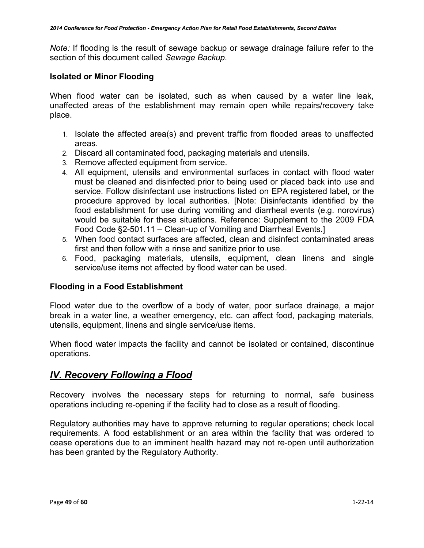*Note:* If flooding is the result of sewage backup or sewage drainage failure refer to the section of this document called *Sewage Backup*.

### **Isolated or Minor Flooding**

When flood water can be isolated, such as when caused by a water line leak, unaffected areas of the establishment may remain open while repairs/recovery take place.

- 1. Isolate the affected area(s) and prevent traffic from flooded areas to unaffected areas.
- 2. Discard all contaminated food, packaging materials and utensils.
- 3. Remove affected equipment from service.
- 4. All equipment, utensils and environmental surfaces in contact with flood water must be cleaned and disinfected prior to being used or placed back into use and service. Follow disinfectant use instructions listed on EPA registered label, or the procedure approved by local authorities. [Note: Disinfectants identified by the food establishment for use during vomiting and diarrheal events (e.g. norovirus) would be suitable for these situations. Reference: Supplement to the 2009 FDA Food Code §2-501.11 – Clean-up of Vomiting and Diarrheal Events.]
- 5. When food contact surfaces are affected, clean and disinfect contaminated areas first and then follow with a rinse and sanitize prior to use.
- 6. Food, packaging materials, utensils, equipment, clean linens and single service/use items not affected by flood water can be used.

### **Flooding in a Food Establishment**

Flood water due to the overflow of a body of water, poor surface drainage, a major break in a water line, a weather emergency, etc. can affect food, packaging materials, utensils, equipment, linens and single service/use items.

When flood water impacts the facility and cannot be isolated or contained, discontinue operations.

### *lV. Recovery Following a Flood*

Recovery involves the necessary steps for returning to normal, safe business operations including re-opening if the facility had to close as a result of flooding.

Regulatory authorities may have to approve returning to regular operations; check local requirements. A food establishment or an area within the facility that was ordered to cease operations due to an imminent health hazard may not re-open until authorization has been granted by the Regulatory Authority.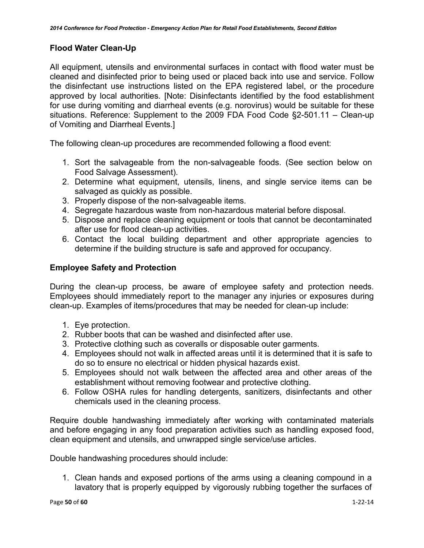### **Flood Water Clean-Up**

All equipment, utensils and environmental surfaces in contact with flood water must be cleaned and disinfected prior to being used or placed back into use and service. Follow the disinfectant use instructions listed on the EPA registered label, or the procedure approved by local authorities. [Note: Disinfectants identified by the food establishment for use during vomiting and diarrheal events (e.g. norovirus) would be suitable for these situations. Reference: Supplement to the 2009 FDA Food Code §2-501.11 – Clean-up of Vomiting and Diarrheal Events.]

The following clean-up procedures are recommended following a flood event:

- 1. Sort the salvageable from the non-salvageable foods. (See section below on Food Salvage Assessment).
- 2. Determine what equipment, utensils, linens, and single service items can be salvaged as quickly as possible.
- 3. Properly dispose of the non-salvageable items.
- 4. Segregate hazardous waste from non-hazardous material before disposal.
- 5. Dispose and replace cleaning equipment or tools that cannot be decontaminated after use for flood clean-up activities.
- 6. Contact the local building department and other appropriate agencies to determine if the building structure is safe and approved for occupancy.

### **Employee Safety and Protection**

During the clean-up process, be aware of employee safety and protection needs. Employees should immediately report to the manager any injuries or exposures during clean-up. Examples of items/procedures that may be needed for clean-up include:

- 1. Eye protection.
- 2. Rubber boots that can be washed and disinfected after use.
- 3. Protective clothing such as coveralls or disposable outer garments.
- 4. Employees should not walk in affected areas until it is determined that it is safe to do so to ensure no electrical or hidden physical hazards exist.
- 5. Employees should not walk between the affected area and other areas of the establishment without removing footwear and protective clothing.
- 6. Follow OSHA rules for handling detergents, sanitizers, disinfectants and other chemicals used in the cleaning process.

Require double handwashing immediately after working with contaminated materials and before engaging in any food preparation activities such as handling exposed food, clean equipment and utensils, and unwrapped single service/use articles.

Double handwashing procedures should include:

1. Clean hands and exposed portions of the arms using a cleaning compound in a lavatory that is properly equipped by vigorously rubbing together the surfaces of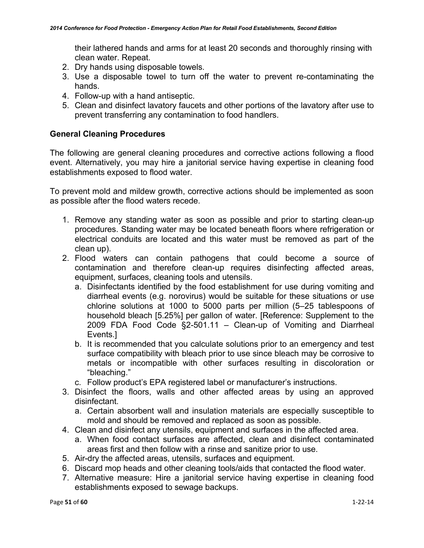their lathered hands and arms for at least 20 seconds and thoroughly rinsing with clean water. Repeat.

- 2. Dry hands using disposable towels.
- 3. Use a disposable towel to turn off the water to prevent re-contaminating the hands.
- 4. Follow-up with a hand antiseptic.
- 5. Clean and disinfect lavatory faucets and other portions of the lavatory after use to prevent transferring any contamination to food handlers.

### **General Cleaning Procedures**

The following are general cleaning procedures and corrective actions following a flood event. Alternatively, you may hire a janitorial service having expertise in cleaning food establishments exposed to flood water.

To prevent mold and mildew growth, corrective actions should be implemented as soon as possible after the flood waters recede.

- 1. Remove any standing water as soon as possible and prior to starting clean-up procedures. Standing water may be located beneath floors where refrigeration or electrical conduits are located and this water must be removed as part of the clean up).
- 2. Flood waters can contain pathogens that could become a source of contamination and therefore clean-up requires disinfecting affected areas, equipment, surfaces, cleaning tools and utensils.
	- a. Disinfectants identified by the food establishment for use during vomiting and diarrheal events (e.g. norovirus) would be suitable for these situations or use chlorine solutions at 1000 to 5000 parts per million (5–25 tablespoons of household bleach [5.25%] per gallon of water. [Reference: Supplement to the 2009 FDA Food Code §2-501.11 – Clean-up of Vomiting and Diarrheal Events.]
	- b. It is recommended that you calculate solutions prior to an emergency and test surface compatibility with bleach prior to use since bleach may be corrosive to metals or incompatible with other surfaces resulting in discoloration or "bleaching."
	- c. Follow product's EPA registered label or manufacturer's instructions.
- 3. Disinfect the floors, walls and other affected areas by using an approved disinfectant.
	- a. Certain absorbent wall and insulation materials are especially susceptible to mold and should be removed and replaced as soon as possible.
- 4. Clean and disinfect any utensils, equipment and surfaces in the affected area.
	- a. When food contact surfaces are affected, clean and disinfect contaminated areas first and then follow with a rinse and sanitize prior to use.
- 5. Air-dry the affected areas, utensils, surfaces and equipment.
- 6. Discard mop heads and other cleaning tools/aids that contacted the flood water.
- 7. Alternative measure: Hire a janitorial service having expertise in cleaning food establishments exposed to sewage backups.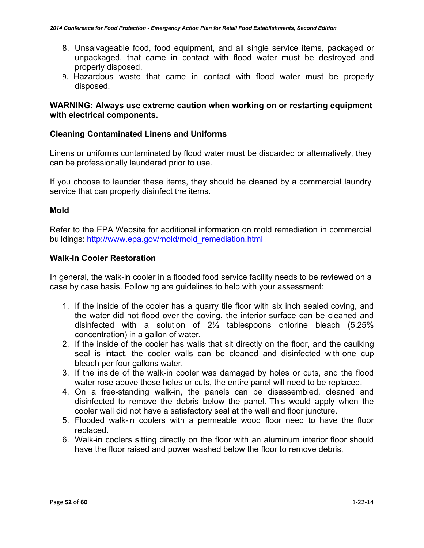- 8. Unsalvageable food, food equipment, and all single service items, packaged or unpackaged, that came in contact with flood water must be destroyed and properly disposed.
- 9. Hazardous waste that came in contact with flood water must be properly disposed.

### **WARNING: Always use extreme caution when working on or restarting equipment with electrical components.**

### **Cleaning Contaminated Linens and Uniforms**

Linens or uniforms contaminated by flood water must be discarded or alternatively, they can be professionally laundered prior to use.

If you choose to launder these items, they should be cleaned by a commercial laundry service that can properly disinfect the items.

### **Mold**

Refer to the EPA Website for additional information on mold remediation in commercial buildings: [http://www.epa.gov/mold/mold\\_remediation.html](http://www.epa.gov/mold/mold_remediation.html)

### **Walk-In Cooler Restoration**

In general, the walk-in cooler in a flooded food service facility needs to be reviewed on a case by case basis. Following are guidelines to help with your assessment:

- 1. If the inside of the cooler has a quarry tile floor with six inch sealed coving, and the water did not flood over the coving, the interior surface can be cleaned and disinfected with a solution of 2½ tablespoons chlorine bleach (5.25% concentration) in a gallon of water.
- 2. If the inside of the cooler has walls that sit directly on the floor, and the caulking seal is intact, the cooler walls can be cleaned and disinfected with one cup bleach per four gallons water.
- 3. If the inside of the walk-in cooler was damaged by holes or cuts, and the flood water rose above those holes or cuts, the entire panel will need to be replaced.
- 4. On a free-standing walk-in, the panels can be disassembled, cleaned and disinfected to remove the debris below the panel. This would apply when the cooler wall did not have a satisfactory seal at the wall and floor juncture.
- 5. Flooded walk-in coolers with a permeable wood floor need to have the floor replaced.
- 6. Walk-in coolers sitting directly on the floor with an aluminum interior floor should have the floor raised and power washed below the floor to remove debris.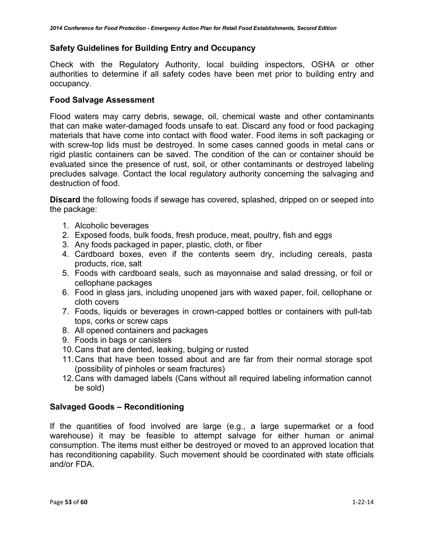### **Safety Guidelines for Building Entry and Occupancy**

Check with the Regulatory Authority, local building inspectors, OSHA or other authorities to determine if all safety codes have been met prior to building entry and occupancy.

### **Food Salvage Assessment**

Flood waters may carry debris, sewage, oil, chemical waste and other contaminants that can make water-damaged foods unsafe to eat. Discard any food or food packaging materials that have come into contact with flood water. Food items in soft packaging or with screw-top lids must be destroyed. In some cases canned goods in metal cans or rigid plastic containers can be saved. The condition of the can or container should be evaluated since the presence of rust, soil, or other contaminants or destroyed labeling precludes salvage. Contact the local regulatory authority concerning the salvaging and destruction of food.

**Discard** the following foods if sewage has covered, splashed, dripped on or seeped into the package:

- 1. Alcoholic beverages
- 2. Exposed foods, bulk foods, fresh produce, meat, poultry, fish and eggs
- 3. Any foods packaged in paper, plastic, cloth, or fiber
- 4. Cardboard boxes, even if the contents seem dry, including cereals, pasta products, rice, salt
- 5. Foods with cardboard seals, such as mayonnaise and salad dressing, or foil or cellophane packages
- 6. Food in glass jars, including unopened jars with waxed paper, foil, cellophane or cloth covers
- 7. Foods, liquids or beverages in crown-capped bottles or containers with pull-tab tops, corks or screw caps
- 8. All opened containers and packages
- 9. Foods in bags or canisters
- 10.Cans that are dented, leaking, bulging or rusted
- 11.Cans that have been tossed about and are far from their normal storage spot (possibility of pinholes or seam fractures)
- 12.Cans with damaged labels (Cans without all required labeling information cannot be sold)

### **Salvaged Goods – Reconditioning**

If the quantities of food involved are large (e.g., a large supermarket or a food warehouse) it may be feasible to attempt salvage for either human or animal consumption. The items must either be destroyed or moved to an approved location that has reconditioning capability. Such movement should be coordinated with state officials and/or FDA.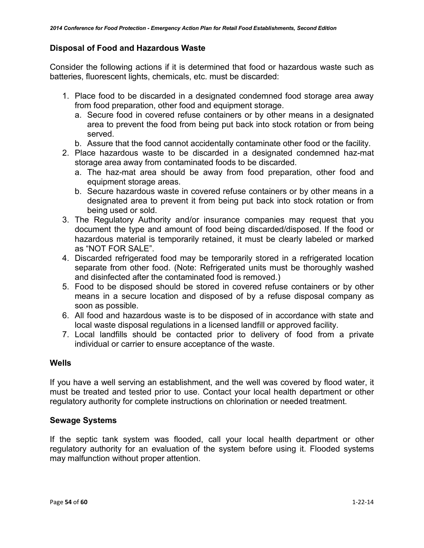### **Disposal of Food and Hazardous Waste**

Consider the following actions if it is determined that food or hazardous waste such as batteries, fluorescent lights, chemicals, etc. must be discarded:

- 1. Place food to be discarded in a designated condemned food storage area away from food preparation, other food and equipment storage.
	- a. Secure food in covered refuse containers or by other means in a designated area to prevent the food from being put back into stock rotation or from being served.
	- b. Assure that the food cannot accidentally contaminate other food or the facility.
- 2. Place hazardous waste to be discarded in a designated condemned haz-mat storage area away from contaminated foods to be discarded.
	- a. The haz-mat area should be away from food preparation, other food and equipment storage areas.
	- b. Secure hazardous waste in covered refuse containers or by other means in a designated area to prevent it from being put back into stock rotation or from being used or sold.
- 3. The Regulatory Authority and/or insurance companies may request that you document the type and amount of food being discarded/disposed. If the food or hazardous material is temporarily retained, it must be clearly labeled or marked as "NOT FOR SALE".
- 4. Discarded refrigerated food may be temporarily stored in a refrigerated location separate from other food. (Note: Refrigerated units must be thoroughly washed and disinfected after the contaminated food is removed.)
- 5. Food to be disposed should be stored in covered refuse containers or by other means in a secure location and disposed of by a refuse disposal company as soon as possible.
- 6. All food and hazardous waste is to be disposed of in accordance with state and local waste disposal regulations in a licensed landfill or approved facility.
- 7. Local landfills should be contacted prior to delivery of food from a private individual or carrier to ensure acceptance of the waste.

### **Wells**

If you have a well serving an establishment, and the well was covered by flood water, it must be treated and tested prior to use. Contact your local health department or other regulatory authority for complete instructions on chlorination or needed treatment.

### **Sewage Systems**

If the septic tank system was flooded, call your local health department or other regulatory authority for an evaluation of the system before using it. Flooded systems may malfunction without proper attention.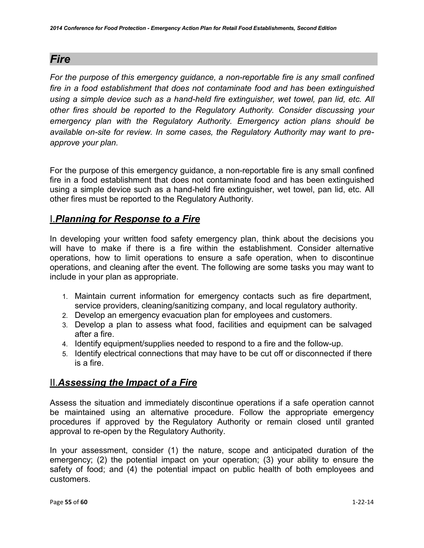# <span id="page-54-0"></span>*Fire*

*For the purpose of this emergency guidance, a non-reportable fire is any small confined fire in a food establishment that does not contaminate food and has been extinguished using a simple device such as a hand-held fire extinguisher, wet towel, pan lid, etc. All other fires should be reported to the Regulatory Authority. Consider discussing your emergency plan with the Regulatory Authority. Emergency action plans should be available on-site for review. In some cases, the Regulatory Authority may want to preapprove your plan.*

For the purpose of this emergency guidance, a non-reportable fire is any small confined fire in a food establishment that does not contaminate food and has been extinguished using a simple device such as a hand-held fire extinguisher, wet towel, pan lid, etc. All other fires must be reported to the Regulatory Authority.

# I.*Planning for Response to a Fire*

In developing your written food safety emergency plan, think about the decisions you will have to make if there is a fire within the establishment. Consider alternative operations, how to limit operations to ensure a safe operation, when to discontinue operations, and cleaning after the event. The following are some tasks you may want to include in your plan as appropriate.

- 1. Maintain current information for emergency contacts such as fire department, service providers, cleaning/sanitizing company, and local regulatory authority.
- 2. Develop an emergency evacuation plan for employees and customers.
- 3. Develop a plan to assess what food, facilities and equipment can be salvaged after a fire.
- 4. Identify equipment/supplies needed to respond to a fire and the follow-up.
- 5. Identify electrical connections that may have to be cut off or disconnected if there is a fire.

# II.*Assessing the Impact of a Fire*

Assess the situation and immediately discontinue operations if a safe operation cannot be maintained using an alternative procedure. Follow the appropriate emergency procedures if approved by the Regulatory Authority or remain closed until granted approval to re-open by the Regulatory Authority.

In your assessment, consider (1) the nature, scope and anticipated duration of the emergency; (2) the potential impact on your operation; (3) your ability to ensure the safety of food; and (4) the potential impact on public health of both employees and customers.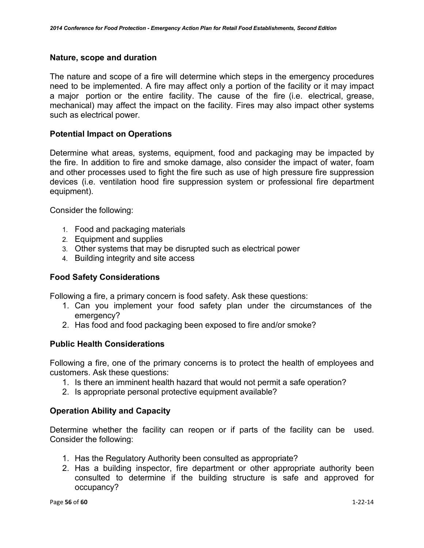### **Nature, scope and duration**

The nature and scope of a fire will determine which steps in the emergency procedures need to be implemented. A fire may affect only a portion of the facility or it may impact a major portion or the entire facility. The cause of the fire (i.e. electrical, grease, mechanical) may affect the impact on the facility. Fires may also impact other systems such as electrical power.

### **Potential Impact on Operations**

Determine what areas, systems, equipment, food and packaging may be impacted by the fire. In addition to fire and smoke damage, also consider the impact of water, foam and other processes used to fight the fire such as use of high pressure fire suppression devices (i.e. ventilation hood fire suppression system or professional fire department equipment).

Consider the following:

- 1. Food and packaging materials
- 2. Equipment and supplies
- 3. Other systems that may be disrupted such as electrical power
- 4. Building integrity and site access

### **Food Safety Considerations**

Following a fire, a primary concern is food safety. Ask these questions:

- 1. Can you implement your food safety plan under the circumstances of the emergency?
- 2. Has food and food packaging been exposed to fire and/or smoke?

### **Public Health Considerations**

Following a fire, one of the primary concerns is to protect the health of employees and customers. Ask these questions:

- 1. Is there an imminent health hazard that would not permit a safe operation?
- 2. Is appropriate personal protective equipment available?

### **Operation Ability and Capacity**

Determine whether the facility can reopen or if parts of the facility can be used. Consider the following:

- 1. Has the Regulatory Authority been consulted as appropriate?
- 2. Has a building inspector, fire department or other appropriate authority been consulted to determine if the building structure is safe and approved for occupancy?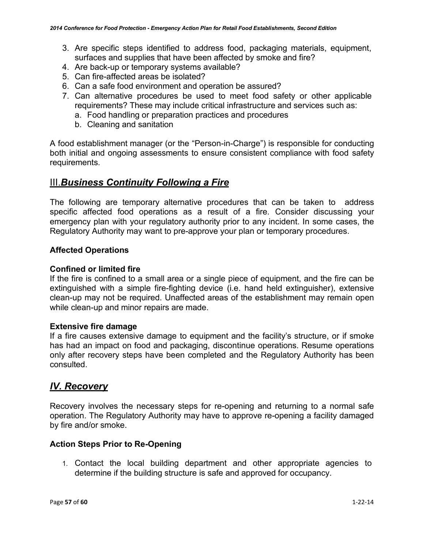- 3. Are specific steps identified to address food, packaging materials, equipment, surfaces and supplies that have been affected by smoke and fire?
- 4. Are back-up or temporary systems available?
- 5. Can fire-affected areas be isolated?
- 6. Can a safe food environment and operation be assured?
- 7. Can alternative procedures be used to meet food safety or other applicable requirements? These may include critical infrastructure and services such as:
	- a. Food handling or preparation practices and procedures
	- b. Cleaning and sanitation

A food establishment manager (or the "Person-in-Charge") is responsible for conducting both initial and ongoing assessments to ensure consistent compliance with food safety requirements.

### III.*Business Continuity Following a Fire*

The following are temporary alternative procedures that can be taken to address specific affected food operations as a result of a fire. Consider discussing your emergency plan with your regulatory authority prior to any incident. In some cases, the Regulatory Authority may want to pre-approve your plan or temporary procedures.

### **Affected Operations**

### **Confined or limited fire**

If the fire is confined to a small area or a single piece of equipment, and the fire can be extinguished with a simple fire-fighting device (i.e. hand held extinguisher), extensive clean-up may not be required. Unaffected areas of the establishment may remain open while clean-up and minor repairs are made.

### **Extensive fire damage**

If a fire causes extensive damage to equipment and the facility's structure, or if smoke has had an impact on food and packaging, discontinue operations. Resume operations only after recovery steps have been completed and the Regulatory Authority has been consulted.

### *lV. Recovery*

Recovery involves the necessary steps for re-opening and returning to a normal safe operation. The Regulatory Authority may have to approve re-opening a facility damaged by fire and/or smoke.

### **Action Steps Prior to Re-Opening**

1. Contact the local building department and other appropriate agencies to determine if the building structure is safe and approved for occupancy.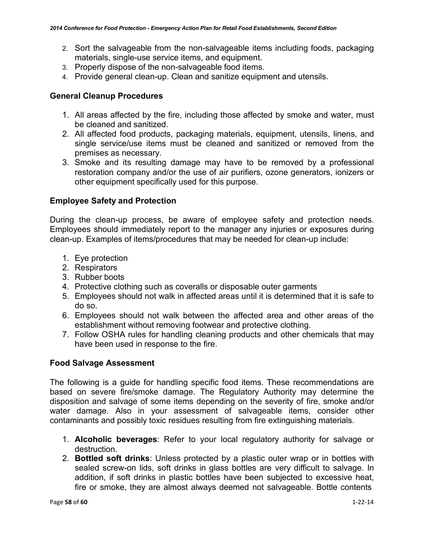- 2. Sort the salvageable from the non-salvageable items including foods, packaging materials, single-use service items, and equipment.
- 3. Properly dispose of the non-salvageable food items.
- 4. Provide general clean-up. Clean and sanitize equipment and utensils.

### **General Cleanup Procedures**

- 1. All areas affected by the fire, including those affected by smoke and water, must be cleaned and sanitized.
- 2. All affected food products, packaging materials, equipment, utensils, linens, and single service/use items must be cleaned and sanitized or removed from the premises as necessary.
- 3. Smoke and its resulting damage may have to be removed by a professional restoration company and/or the use of air purifiers, ozone generators, ionizers or other equipment specifically used for this purpose.

### **Employee Safety and Protection**

During the clean-up process, be aware of employee safety and protection needs. Employees should immediately report to the manager any injuries or exposures during clean-up. Examples of items/procedures that may be needed for clean-up include:

- 1. Eye protection
- 2. Respirators
- 3. Rubber boots
- 4. Protective clothing such as coveralls or disposable outer garments
- 5. Employees should not walk in affected areas until it is determined that it is safe to do so.
- 6. Employees should not walk between the affected area and other areas of the establishment without removing footwear and protective clothing.
- 7. Follow OSHA rules for handling cleaning products and other chemicals that may have been used in response to the fire.

### **Food Salvage Assessment**

The following is a guide for handling specific food items. These recommendations are based on severe fire/smoke damage. The Regulatory Authority may determine the disposition and salvage of some items depending on the severity of fire, smoke and/or water damage. Also in your assessment of salvageable items, consider other contaminants and possibly toxic residues resulting from fire extinguishing materials.

- 1. **Alcoholic beverages**: Refer to your local regulatory authority for salvage or destruction.
- 2. **Bottled soft drinks**: Unless protected by a plastic outer wrap or in bottles with sealed screw-on lids, soft drinks in glass bottles are very difficult to salvage. In addition, if soft drinks in plastic bottles have been subjected to excessive heat, fire or smoke, they are almost always deemed not salvageable. Bottle contents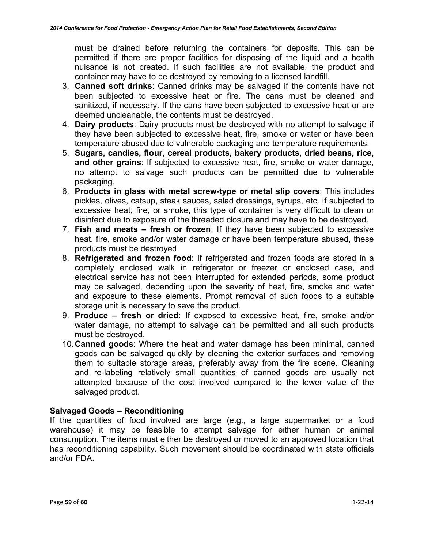must be drained before returning the containers for deposits. This can be permitted if there are proper facilities for disposing of the liquid and a health nuisance is not created. If such facilities are not available, the product and container may have to be destroyed by removing to a licensed landfill.

- 3. **Canned soft drinks**: Canned drinks may be salvaged if the contents have not been subjected to excessive heat or fire. The cans must be cleaned and sanitized, if necessary. If the cans have been subjected to excessive heat or are deemed uncleanable, the contents must be destroyed.
- 4. **Dairy products**: Dairy products must be destroyed with no attempt to salvage if they have been subjected to excessive heat, fire, smoke or water or have been temperature abused due to vulnerable packaging and temperature requirements.
- 5. **Sugars, candies, flour, cereal products, bakery products, dried beans, rice, and other grains**: If subjected to excessive heat, fire, smoke or water damage, no attempt to salvage such products can be permitted due to vulnerable packaging.
- 6. **Products in glass with metal screw-type or metal slip covers**: This includes pickles, olives, catsup, steak sauces, salad dressings, syrups, etc. If subjected to excessive heat, fire, or smoke, this type of container is very difficult to clean or disinfect due to exposure of the threaded closure and may have to be destroyed.
- 7. **Fish and meats – fresh or frozen**: If they have been subjected to excessive heat, fire, smoke and/or water damage or have been temperature abused, these products must be destroyed.
- 8. **Refrigerated and frozen food**: If refrigerated and frozen foods are stored in a completely enclosed walk in refrigerator or freezer or enclosed case, and electrical service has not been interrupted for extended periods, some product may be salvaged, depending upon the severity of heat, fire, smoke and water and exposure to these elements. Prompt removal of such foods to a suitable storage unit is necessary to save the product.
- 9. **Produce – fresh or dried:** If exposed to excessive heat, fire, smoke and/or water damage, no attempt to salvage can be permitted and all such products must be destroyed.
- 10.**Canned goods**: Where the heat and water damage has been minimal, canned goods can be salvaged quickly by cleaning the exterior surfaces and removing them to suitable storage areas, preferably away from the fire scene. Cleaning and re-labeling relatively small quantities of canned goods are usually not attempted because of the cost involved compared to the lower value of the salvaged product.

### **Salvaged Goods – Reconditioning**

If the quantities of food involved are large (e.g., a large supermarket or a food warehouse) it may be feasible to attempt salvage for either human or animal consumption. The items must either be destroyed or moved to an approved location that has reconditioning capability. Such movement should be coordinated with state officials and/or FDA.